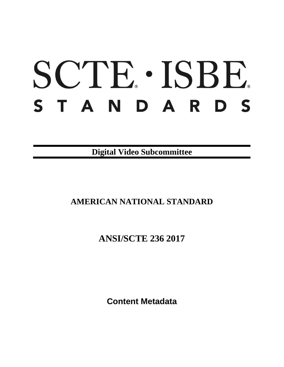# SCTE · ISBE. STANDARDS

**Digital Video Subcommittee**

# **AMERICAN NATIONAL STANDARD**

**ANSI/SCTE 236 2017**

**Content Metadata**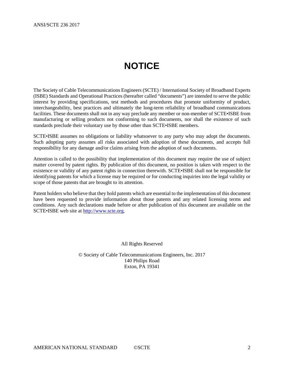# **NOTICE**

The Society of Cable Telecommunications Engineers (SCTE) / International Society of Broadband Experts (ISBE) Standards and Operational Practices (hereafter called "documents") are intended to serve the public interest by providing specifications, test methods and procedures that promote uniformity of product, interchangeability, best practices and ultimately the long-term reliability of broadband communications facilities. These documents shall not in any way preclude any member or non-member of SCTE•ISBE from manufacturing or selling products not conforming to such documents, nor shall the existence of such standards preclude their voluntary use by those other than SCTE•ISBE members.

SCTE•ISBE assumes no obligations or liability whatsoever to any party who may adopt the documents. Such adopting party assumes all risks associated with adoption of these documents, and accepts full responsibility for any damage and/or claims arising from the adoption of such documents.

Attention is called to the possibility that implementation of this document may require the use of subject matter covered by patent rights. By publication of this document, no position is taken with respect to the existence or validity of any patent rights in connection therewith. SCTE•ISBE shall not be responsible for identifying patents for which a license may be required or for conducting inquiries into the legal validity or scope of those patents that are brought to its attention.

Patent holders who believe that they hold patents which are essential to the implementation of this document have been requested to provide information about those patents and any related licensing terms and conditions. Any such declarations made before or after publication of this document are available on the SCTE•ISBE web site at [http://www.scte.org.](http://www.scte.org/)

All Rights Reserved

© Society of Cable Telecommunications Engineers, Inc. 2017 140 Philips Road Exton, PA 19341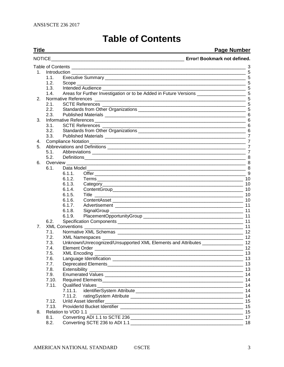# **Table of Contents**

<span id="page-2-0"></span>

| <b>Title</b>   |       |                                                                                                                                         | <b>Page Number</b>           |
|----------------|-------|-----------------------------------------------------------------------------------------------------------------------------------------|------------------------------|
|                |       |                                                                                                                                         | Error! Bookmark not defined. |
|                |       |                                                                                                                                         |                              |
| 1.             |       | Introduction                                                                                                                            |                              |
|                | 1.1.  |                                                                                                                                         |                              |
|                | 1.2.  | Scope                                                                                                                                   |                              |
|                | 1.3.  | Intended Audience <b>Exercise Serverse</b>                                                                                              |                              |
|                | 1.4.  |                                                                                                                                         |                              |
| 2.             |       |                                                                                                                                         |                              |
|                | 2.1.  |                                                                                                                                         |                              |
|                | 2.2.  |                                                                                                                                         |                              |
|                | 2.3.  |                                                                                                                                         |                              |
| 3.             |       |                                                                                                                                         | 6                            |
|                | 3.1.  |                                                                                                                                         | 6                            |
|                | 3.2.  |                                                                                                                                         |                              |
|                | 3.3.  |                                                                                                                                         |                              |
| 4.             |       |                                                                                                                                         | $\overline{7}$               |
| 5.             |       |                                                                                                                                         | $\overline{7}$               |
|                | 5.1.  |                                                                                                                                         |                              |
|                | 5.2.  |                                                                                                                                         |                              |
| 6.             |       | 8 <sup>1</sup><br>Overview ________                                                                                                     |                              |
|                | 6.1.  |                                                                                                                                         |                              |
|                |       | 6.1.1.                                                                                                                                  | 9                            |
|                |       | 6.1.2.                                                                                                                                  | 10                           |
|                |       | 6.1.3.                                                                                                                                  |                              |
|                |       | 6.1.4.                                                                                                                                  |                              |
|                |       | 6.1.5.<br>Title                                                                                                                         | -10                          |
|                |       | 6.1.6.                                                                                                                                  | - 10                         |
|                |       | 6.1.7.                                                                                                                                  | 11                           |
|                |       | 6.1.8.                                                                                                                                  | 11                           |
|                |       | 6.1.9.                                                                                                                                  |                              |
|                | 6.2.  |                                                                                                                                         | $-11$                        |
| 7 <sub>1</sub> |       |                                                                                                                                         | $-11$                        |
|                | 7.1.  |                                                                                                                                         | - 12                         |
|                | 7.2.  | XML Namespaces _                                                                                                                        | 12                           |
|                | 7.3.  | Unknown/Unrecognized/Unsupported XML Elements and Attributes ___________________ 12                                                     |                              |
|                | 7.4.  |                                                                                                                                         | 12                           |
|                | 7.5.  |                                                                                                                                         | $-13$                        |
|                | 7.6.  |                                                                                                                                         | 13                           |
|                | 7.7.  |                                                                                                                                         |                              |
|                | 7.8.  | Extensibility _<br><u> 1989 - Johann John Stein, marwolaeth a brenin a brenin a brenin a brenin a brenin a brenin a brenin a brenin</u> | 13                           |
|                | 7.9.  |                                                                                                                                         | 14                           |
|                | 7.10. |                                                                                                                                         | 14                           |
|                | 7.11. |                                                                                                                                         | -14                          |
|                |       | 7.11.1.                                                                                                                                 | -14                          |
|                |       | 7.11.2.                                                                                                                                 | - 14                         |
|                | 7.12. |                                                                                                                                         | 15                           |
|                | 7.13. | ProviderId Bucket Identifier [1988] [1989] [1989] [1989] [1989] [1989] [1989] [1989] [1989] [1989] [1989] [198                          | 15                           |
| 8.             |       | Relation to VOD 1.1                                                                                                                     | 15                           |
|                | 8.1.  |                                                                                                                                         | 17                           |

8.2. Converting SCTE 236 to ADI 1.1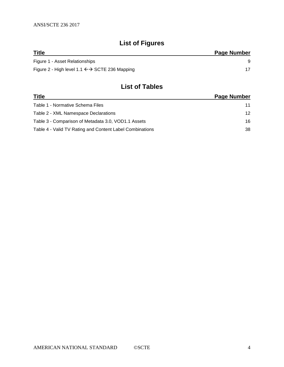# **List of Figures**

| <b>Title</b>                                                 | Page Number |
|--------------------------------------------------------------|-------------|
| Figure 1 - Asset Relationships                               |             |
| Figure 2 - High level 1.1 $\leftrightarrow$ SCTE 236 Mapping |             |

# **List of Tables**

| <b>Title</b>                                             | <b>Page Number</b> |
|----------------------------------------------------------|--------------------|
| Table 1 - Normative Schema Files                         | 11                 |
| Table 2 - XML Namespace Declarations                     | 12                 |
| Table 3 - Comparison of Metadata 3.0, VOD1.1 Assets      | 16                 |
| Table 4 - Valid TV Rating and Content Label Combinations | 38                 |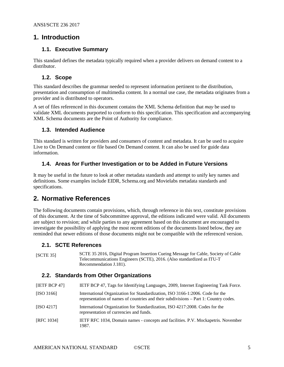# <span id="page-4-0"></span>**1. Introduction**

## <span id="page-4-1"></span>**1.1. Executive Summary**

This standard defines the metadata typically required when a provider delivers on demand content to a distributor.

# <span id="page-4-2"></span>**1.2. Scope**

This standard describes the grammar needed to represent information pertinent to the distribution, presentation and consumption of multimedia content. In a normal use case, the metadata originates from a provider and is distributed to operators.

A set of files referenced in this document contains the XML Schema definition that *may* be used to validate XML documents purported to conform to this specification. This specification and accompanying XML Schema documents are the Point of Authority for compliance.

## <span id="page-4-3"></span>**1.3. Intended Audience**

This standard is written for providers and consumers of content and metadata. It can be used to acquire Live to On Demand content or file based On Demand content. It can also be used for guide data information.

# <span id="page-4-4"></span>**1.4. Areas for Further Investigation or to be Added in Future Versions**

It may be useful in the future to look at other metadata standards and attempt to unify key names and definitions. Some examples include EIDR, Schema.org and Movielabs metadata standards and specifications.

# <span id="page-4-5"></span>**2. Normative References**

The following documents contain provisions, which, through reference in this text, constitute provisions of this document. At the time of Subcommittee approval, the editions indicated were valid. All documents are subject to revision; and while parties to any agreement based on this document are encouraged to investigate the possibility of applying the most recent editions of the documents listed below, they are reminded that newer editions of those documents might not be compatible with the referenced version.

## <span id="page-4-6"></span>**2.1. SCTE References**

[SCTE 35] SCTE 35 2016, Digital Program Insertion Cueing Message for Cable, Society of Cable Telecommunications Engineers (SCTE), 2016. (Also standardized as ITU-T Recommendation J.181).

# <span id="page-4-7"></span>**2.2. Standards from Other Organizations**

<span id="page-4-8"></span>

| [IETF BCP 47] | IETF BCP 47, Tags for Identifying Languages, 2009, Internet Engineering Task Force.                                                                                   |
|---------------|-----------------------------------------------------------------------------------------------------------------------------------------------------------------------|
| [ISO 3166]    | International Organization for Standardization, ISO 3166-1:2006. Code for the<br>representation of names of countries and their subdivisions – Part 1: Country codes. |
| [ISO 4217]    | International Organization for Standardization, ISO 4217:2008. Codes for the<br>representation of currencies and funds.                                               |
| [RFC 1034]    | IETF RFC 1034, Domain names - concepts and facilities. P.V. Mockapetris. November<br>1987.                                                                            |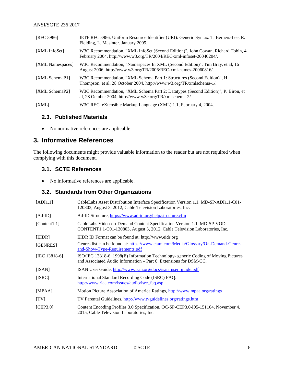<span id="page-5-16"></span><span id="page-5-6"></span><span id="page-5-4"></span>

| [RFC 3986]       | IETF RFC 3986, Uniform Resource Identifier (URI): Generic Syntax. T. Berners-Lee, R.<br>Fielding, L. Masinter. January 2005.                            |
|------------------|---------------------------------------------------------------------------------------------------------------------------------------------------------|
| [XML InfoSet]    | W3C Recommendation, "XML InfoSet (Second Edition)", John Cowan, Richard Tobin, 4<br>February 2004, http://www.w3.org/TR/2004/REC-xml-infoset-20040204/. |
| [XML Namespaces] | W3C Recommendation, "Namespaces In XML (Second Edition)", Tim Bray, et al, 16<br>August 2006, http://www.w3.org/TR/2006/REC-xml-names-20060816/.        |
| [XML SchemaP1]   | W3C Recommendation, "XML Schema Part 1: Structures (Second Edition)", H.<br>Thompson, et al, 28 October 2004, http://www.w3.org/TR/xmlschema-1/.        |
| [XML SchemaP2]   | W3C Recommendation, "XML Schema Part 2: Datatypes (Second Edition)", P. Biron, et<br>al, 28 October 2004, http://www.w3c.org/TR/xmlschema-2/.           |
| [XML]            | W3C REC: eXtensible Markup Language (XML) 1.1, February 4, 2004.                                                                                        |

## <span id="page-5-7"></span><span id="page-5-5"></span><span id="page-5-0"></span>**2.3. Published Materials**

• No normative references are applicable.

# <span id="page-5-1"></span>**3. Informative References**

The following documents might provide valuable information to the reader but are not required when complying with this document.

## <span id="page-5-2"></span>**3.1. SCTE References**

• No informative references are applicable.

# <span id="page-5-3"></span>**3.2. Standards from Other Organizations**

<span id="page-5-15"></span><span id="page-5-14"></span><span id="page-5-13"></span><span id="page-5-12"></span><span id="page-5-11"></span><span id="page-5-10"></span><span id="page-5-9"></span><span id="page-5-8"></span>

| [ADI1.1]      | CableLabs Asset Distribution Interface Specification Version 1.1, MD-SP-ADI1.1-C01-<br>120803, August 3, 2012, Cable Television Laboratories, Inc.     |
|---------------|--------------------------------------------------------------------------------------------------------------------------------------------------------|
| $[Ad-ID]$     | Ad-ID Structure, https://www.ad-id.org/help/structure.cfm                                                                                              |
| [Content1.1]  | CableLabs Video-on-Demand Content Specification Version 1.1, MD-SP-VOD-<br>CONTENT1.1-C01-120803, August 3, 2012, Cable Television Laboratories, Inc.  |
| [EIDR]        | EIDR ID Format can be found at: http://www.eidr.org                                                                                                    |
| [GENRES]      | Genres list can be found at: https://www.ctam.com/Media/Glossary/On-Demand-Genre-<br><u>and-Show-Type-Requirements.pdf</u>                             |
| [IEC 13818-6] | ISO/IEC 13818-6: 1998(E) Information Technology-generic Coding of Moving Pictures<br>and Associated Audio Information – Part 6: Extensions for DSM-CC. |
| [ISAN]        | ISAN User Guide, http://www.isan.org/docs/isan_user_guide.pdf                                                                                          |
| [ISRC]        | International Standard Recording Code (ISRC) FAQ:<br>http://www.riaa.com/issues/audio/isrc_faq.asp                                                     |
| [MPAA]        | Motion Picture Association of America Ratings, http://www.mpaa.org/ratings                                                                             |
| [TV]          | TV Parental Guidelines, http://www.tvguidelines.org/ratings.htm                                                                                        |
| [CEP3.0]      | Content Encoding Profiles 3.0 Specification, OC-SP-CEP3.0-105-151104, November 4,<br>2015, Cable Television Laboratories, Inc.                         |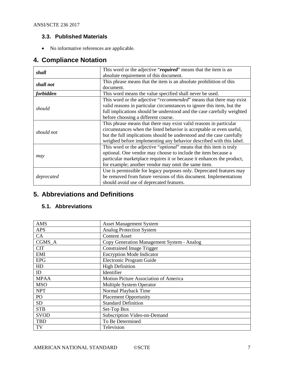# <span id="page-6-0"></span>**3.3. Published Materials**

• No informative references are applicable.

# <span id="page-6-1"></span>**4. Compliance Notation**

| This word or the adjective "required" means that the item is an<br>shall<br>absolute requirement of this document.                                                                                                                                                                    |                                                                                                                                                                                                                                                                                            |
|---------------------------------------------------------------------------------------------------------------------------------------------------------------------------------------------------------------------------------------------------------------------------------------|--------------------------------------------------------------------------------------------------------------------------------------------------------------------------------------------------------------------------------------------------------------------------------------------|
| shall not                                                                                                                                                                                                                                                                             | This phrase means that the item is an absolute prohibition of this<br>document.                                                                                                                                                                                                            |
| <i>forbidden</i><br>This word means the value specified shall never be used.                                                                                                                                                                                                          |                                                                                                                                                                                                                                                                                            |
| should                                                                                                                                                                                                                                                                                | This word or the adjective "recommended" means that there may exist<br>valid reasons in particular circumstances to ignore this item, but the<br>full implications should be understood and the case carefully weighted<br>before choosing a different course.                             |
| should not                                                                                                                                                                                                                                                                            | This phrase means that there may exist valid reasons in particular<br>circumstances when the listed behavior is acceptable or even useful,<br>but the full implications should be understood and the case carefully<br>weighed before implementing any behavior described with this label. |
| This word or the adjective " <i>optional</i> " means that this item is truly<br>optional. One vendor may choose to include the item because a<br>may<br>particular marketplace requires it or because it enhances the product,<br>for example; another vendor may omit the same item. |                                                                                                                                                                                                                                                                                            |
| deprecated                                                                                                                                                                                                                                                                            | Use is permissible for legacy purposes only. Deprecated features may<br>be removed from future versions of this document. Implementations<br>should avoid use of deprecated features.                                                                                                      |

# <span id="page-6-2"></span>**5. Abbreviations and Definitions**

## <span id="page-6-3"></span>**5.1. Abbreviations**

| <b>AMS</b>  | <b>Asset Management System</b>             |
|-------------|--------------------------------------------|
| <b>APS</b>  | <b>Analog Protection System</b>            |
| CA          | <b>Content Asset</b>                       |
| CGMS A      | Copy Generation Management System - Analog |
| <b>CIT</b>  | <b>Constrained Image Trigger</b>           |
| <b>EMI</b>  | <b>Encryption Mode Indicator</b>           |
| <b>EPG</b>  | Electronic Program Guide                   |
| HD          | <b>High Definition</b>                     |
| ID          | Identifier                                 |
| <b>MPAA</b> | Motion Picture Association of America      |
| <b>MSO</b>  | <b>Multiple System Operator</b>            |
| <b>NPT</b>  | Normal Playback Time                       |
| PO          | <b>Placement Opportunity</b>               |
| <b>SD</b>   | <b>Standard Definition</b>                 |
| <b>STB</b>  | Set-Top Box                                |
| <b>SVOD</b> | Subscription Video-on-Demand               |
| <b>TBD</b>  | To Be Determined                           |
| TV          | Television                                 |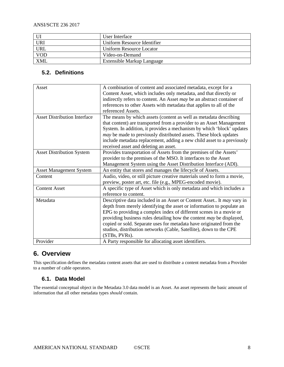|            | User Interface              |
|------------|-----------------------------|
| <b>URI</b> | Uniform Resource Identifier |
| <b>URL</b> | Uniform Resource Locator    |
| <b>VOD</b> | Video-on-Demand             |
| <b>XML</b> | Extensible Markup Language  |

# <span id="page-7-0"></span>**5.2. Definitions**

| Asset                               | A combination of content and associated metadata, except for a          |
|-------------------------------------|-------------------------------------------------------------------------|
|                                     | Content Asset, which includes only metadata, and that directly or       |
|                                     | indirectly refers to content. An Asset may be an abstract container of  |
|                                     | references to other Assets with metadata that applies to all of the     |
|                                     | referenced Assets.                                                      |
| <b>Asset Distribution Interface</b> | The means by which assets (content as well as metadata describing       |
|                                     | that content) are transported from a provider to an Asset Management    |
|                                     | System. In addition, it provides a mechanism by which 'block' updates   |
|                                     | may be made to previously distributed assets. These block updates       |
|                                     | include metadata replacement, adding a new child asset to a previously  |
|                                     | received asset and deleting an asset.                                   |
| <b>Asset Distribution System</b>    | Provides transportation of Assets from the premises of the Assets'      |
|                                     | provider to the premises of the MSO. It interfaces to the Asset         |
|                                     | Management System using the Asset Distribution Interface (ADI).         |
| <b>Asset Management System</b>      | An entity that stores and manages the lifecycle of Assets.              |
| Content                             | Audio, video, or still picture creative materials used to form a movie, |
|                                     | preview, poster art, etc. file (e.g., MPEG-encoded movie).              |
| <b>Content Asset</b>                | A specific type of Asset which is only metadata and which includes a    |
|                                     | reference to content.                                                   |
| Metadata                            | Descriptive data included in an Asset or Content Asset It may vary in   |
|                                     | depth from merely identifying the asset or information to populate an   |
|                                     | EPG to providing a complex index of different scenes in a movie or      |
|                                     | providing business rules detailing how the content may be displayed,    |
|                                     | copied or sold. Separate uses for metadata have originated from the     |
|                                     | studios, distribution networks (Cable, Satellite), down to the CPE      |
|                                     | (STBs, PVRs).                                                           |
| Provider                            | A Party responsible for allocating asset identifiers.                   |
|                                     |                                                                         |

# <span id="page-7-1"></span>**6. Overview**

This specification defines the metadata content assets that are used to distribute a content metadata from a Provider to a number of cable operators.

# <span id="page-7-2"></span>**6.1. Data Model**

The essential conceptual object in the Metadata 3.0 data model is an Asset. An asset represents the basic amount of information that all other metadata types *should* contain.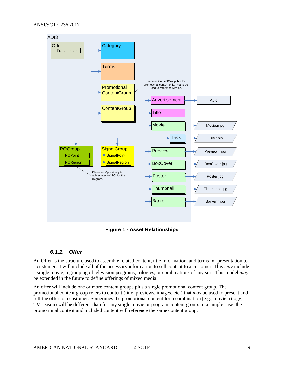

**Figure 1 - Asset Relationships**

## <span id="page-8-1"></span>*6.1.1. Offer*

<span id="page-8-0"></span>An Offer is the structure used to assemble related content, title information, and terms for presentation to a customer. It will include all of the necessary information to sell content to a customer. This *may* include a single movie, a grouping of television programs, trilogies, or combinations of any sort. This model *may* be extended in the future to define offerings of mixed media.

An offer will include one or more content groups plus a single promotional content group. The promotional content group refers to content (title, previews, images, etc.) that *may* be used to present and sell the offer to a customer. Sometimes the promotional content for a combination (e.g., movie trilogy, TV season) will be different than for any single movie or program content group. In a simple case, the promotional content and included content will reference the same content group.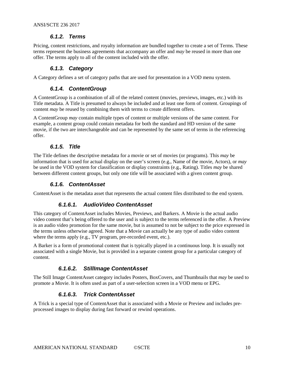## *6.1.2. Terms*

<span id="page-9-0"></span>Pricing, content restrictions, and royalty information are bundled together to create a set of Terms. These terms represent the business agreements that accompany an offer and *may* be reused in more than one offer. The terms apply to all of the content included with the offer.

## *6.1.3. Category*

<span id="page-9-2"></span><span id="page-9-1"></span>A Category defines a set of category paths that are used for presentation in a VOD menu system.

## *6.1.4. ContentGroup*

A ContentGroup is a combination of all of the related content (movies, previews, images, etc.) with its Title metadata. A Title is presumed to always be included and at least one form of content. Groupings of content *may* be reused by combining them with terms to create different offers.

A ContentGroup *may* contain multiple types of content or multiple versions of the same content. For example, a content group could contain metadata for both the standard and HD version of the same movie, if the two are interchangeable and can be represented by the same set of terms in the referencing offer.

## *6.1.5. Title*

<span id="page-9-3"></span>The Title defines the descriptive metadata for a movie or set of movies (or programs). This *may* be information that is used for actual display on the user's screen (e.g., Name of the movie, Actors), or *may*  be used in the VOD system for classification or display constraints (e.g., Rating). Titles *may* be shared between different content groups, but only one title will be associated with a given content group.

## *6.1.6. ContentAsset*

<span id="page-9-4"></span>ContentAsset is the metadata asset that represents the actual content files distributed to the end system.

## *6.1.6.1. AudioVideo ContentAsset*

This category of ContentAsset includes Movies, Previews, and Barkers. A Movie is the actual audio video content that's being offered to the user and is subject to the terms referenced in the offer. A Preview is an audio video promotion for the same movie, but is assumed to not be subject to the price expressed in the terms unless otherwise agreed. Note that a Movie can actually be any type of audio video content where the terms apply (e.g., TV program, pre-recorded event, etc.).

A Barker is a form of promotional content that is typically played in a continuous loop. It is usually not associated with a single Movie, but is provided in a separate content group for a particular category of content.

## *6.1.6.2. StillImage ContentAsset*

The Still Image ContentAsset category includes Posters, BoxCovers, and Thumbnails that *may* be used to promote a Movie. It is often used as part of a user-selection screen in a VOD menu or EPG.

## *6.1.6.3. Trick ContentAsset*

A Trick is a special type of ContentAsset that is associated with a Movie or Preview and includes preprocessed images to display during fast forward or rewind operations.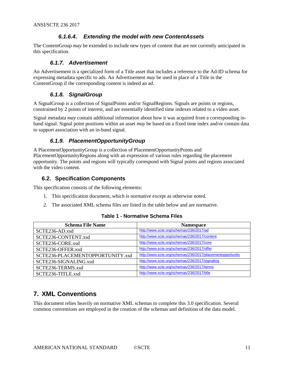# *6.1.6.4. Extending the model with new ContentAssets*

The ContentGroup *may* be extended to include new types of content that are not currently anticipated in this specification.

## *6.1.7. Advertisement*

<span id="page-10-0"></span>An Advertisement is a specialized form of a Title asset that includes a reference to the Ad-ID schema for expressing metadata specific to ads. An Advertisement *may* be used in place of a Title in the ContentGroup if the corresponding content is indeed an ad.

## *6.1.8. SignalGroup*

<span id="page-10-1"></span>A SignalGroup is a collection of SignalPoints and/or SignalRegions. Signals are points or regions, constrained by 2 points of interest, and are essentially identified time indexes related to a video asset.

Signal metadata *may* contain additional information about how it was acquired from a corresponding inband signal. Signal point positions within an asset *may* be based on a fixed time index and/or contain data to support association with an in-band signal.

# *6.1.9. PlacementOpportunityGroup*

<span id="page-10-2"></span>A PlacementOpportunityGroup is a collection of PlacementOpportunityPoints and PlacementOpportunityRegions along with an expression of various rules regarding the placement opportunity. The points and regions will typically correspond with Signal points and regions associated with the video content.

# <span id="page-10-3"></span>**6.2. Specification Components**

This specification consists of the following elements:

- 1. This specification document, which is normative except as otherwise noted.
- 2. The associated XML schema files are listed in the table below and are normative.

<span id="page-10-5"></span>

| <b>Schema File Name</b>          | <b>Namespace</b>                                          |
|----------------------------------|-----------------------------------------------------------|
| SCTE236-AD.xsd                   | http://www.scte.org/schemas/236/2017/ad                   |
| SCTE236-CONTENT.xsd              | http://www.scte.org/schemas/236/2017/content              |
| SCTE236-CORE.xsd                 | http://www.scte.org/schemas/236/2017/core                 |
| SCTE236-OFFER.xsd                | http://www.scte.org/schemas/236/2017/offer                |
| SCTE236-PLACEMENTOPPORTUNITY.xsd | http://www.scte.org/schemas/236/2017/placementopportunity |
| SCTE236-SIGNALING.xsd            | http://www.scte.org/schemas/236/2017/signaling            |
| SCTE236-TERMS.xsd                | http://www.scte.org/schemas/236/2017/terms                |
| SCTE236-TITLE.xsd                | http://www.scte.org/schemas/236/2017/title                |

## **Table 1 - Normative Schema Files**

# <span id="page-10-4"></span>**7. XML Conventions**

This document relies heavily on normative XML schemas to complete this 3.0 specification. Several common conventions are employed in the creation of the schemas and definition of the data model.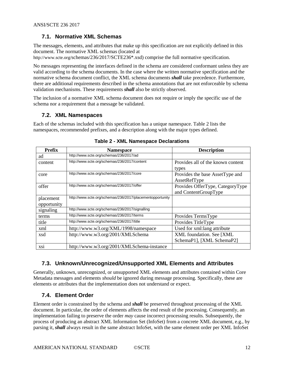# <span id="page-11-0"></span>**7.1. Normative XML Schemas**

The messages, elements, and attributes that make up this specification are not explicitly defined in this document. The normative XML schemas (located at

http://www.scte.org/schemas/236/2017/SCTE236\*.xsd) comprise the full normative specification.

No messages representing the interfaces defined in the schema are considered conformant unless they are valid according to the schema documents. In the case where the written normative specification and the normative schema document conflict, the XML schema documents *shall* take precedence. Furthermore, there are additional requirements described in the schema annotations that are not enforceable by schema validation mechanisms. These requirements *shall* also be strictly observed.

The inclusion of a normative XML schema document does not require or imply the specific use of the schema nor a requirement that a message be validated.

## <span id="page-11-1"></span>**7.2. XML Namespaces**

Each of the schemas included with this specification has a unique namespace. [Table 2](#page-11-4) lists the namespaces, recommended prefixes, and a description along with the major types defined.

<span id="page-11-4"></span>

| <b>Prefix</b>            | <b>Namespace</b>                                          | <b>Description</b>                                       |
|--------------------------|-----------------------------------------------------------|----------------------------------------------------------|
| ad                       | http://www.scte.org/schemas/236/2017/ad                   |                                                          |
| content                  | http://www.scte.org/schemas/236/2017/content              | Provides all of the known content<br>types               |
| core                     | http://www.scte.org/schemas/236/2017/core                 | Provides the base AssetType and<br>AssetRefType          |
| offer                    | http://www.scte.org/schemas/236/2017/offer                | Provides OfferType, CategoryType<br>and ContentGroupType |
| placement<br>opportunity | http://www.scte.org/schemas/236/2017/placementopportunity |                                                          |
| signaling                | http://www.scte.org/schemas/236/2017/signalling           |                                                          |
| terms                    | http://www.scte.org/schemas/236/2017/terms                | Provides TermsType                                       |
| title                    | http://www.scte.org/schemas/236/2017/title                | Provides TitleType                                       |
| xml                      | http://www.w3.org/XML/1998/namespace                      | Used for xml: lang attribute                             |
| xsd                      | http://www.w3.org/2001/XMLSchema                          | XML foundation. See [XML<br>SchemaP1], [XML SchemaP2]    |
| XS1                      | http://www.w3.org/2001/XMLSchema-instance                 |                                                          |

|  | <b>Table 2 - XML Namespace Declarations</b> |  |
|--|---------------------------------------------|--|
|--|---------------------------------------------|--|

# <span id="page-11-2"></span>**7.3. Unknown/Unrecognized/Unsupported XML Elements and Attributes**

Generally, unknown, unrecognized, or unsupported XML elements and attributes contained within Core Metadata messages and elements *should* be ignored during message processing. Specifically, these are elements or attributes that the implementation does not understand or expect.

# <span id="page-11-3"></span>**7.4. Element Order**

Element order is constrained by the schema and *shall* be preserved throughout processing of the XML document. In particular, the order of elements affects the end result of the processing. Consequently, an implementation failing to preserve the order *may* cause incorrect processing results. Subsequently, the process of producing an abstract XML Information Set (InfoSet) from a concrete XML document, e.g., by parsing it, *shall* always result in the same abstract InfoSet, with the same element order per XML InfoSet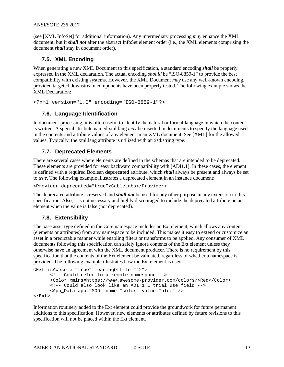(see [\[XML InfoSet\]](#page-5-6) for additional information). Any intermediary processing *may* enhance the XML document, but it *shall not* alter the abstract InfoSet element order (i.e., the XML elements comprising the document *shall* stay in document order).

## <span id="page-12-0"></span>**7.5. XML Encoding**

When generating a new XML Document to this specification, a standard encoding *shall* be properly expressed in the XML declaration. The actual encoding *should* be "ISO-8859-1" to provide the best compatibility with existing systems. However, the XML Document *may* use any well-known encoding, provided targeted downstream components have been properly tested. The following example shows the XML Declaration:

```
<?xml version="1.0" encoding="ISO-8859-1"?>
```
## **7.6. Language Identification**

In document processing, it is often useful to identify the natural or formal language in which the content is written. A special attribute named xml:lang *may* be inserted in documents to specify the language used in the contents and attribute values of any element in an XML document. See [\[XML\]](#page-5-7) for the allowed values. Typically, the xml:lang attribute is utilized with an xsd:string type.

## <span id="page-12-2"></span>**7.7. Deprecated Elements**

There are several cases where elements are defined in the schemas that are intended to be deprecated. These elements are provided for easy backward compatibility with [\[ADI1.1\].](#page-5-8) In these cases, the element is defined with a required Boolean **deprecated** attribute, which *shall* always be present and always be set to *true*. The following example illustrates a deprecated element in an instance document:

```
<Provider deprecated="true">CableLabs</Provider>
```
The deprecated attribute is reserved and *shall not* be used for any other purpose in any extension to this specification. Also, it is not necessary and highly discouraged to include the deprecated attribute on an element when the value is false (not deprecated).

## <span id="page-12-3"></span>**7.8. Extensibility**

The base asset type defined in the Core namespace includes an Ext element, which allows any content (elements or attributes) from any namespace to be included. This makes it easy to extend or customize an asset in a predictable manner while enabling filters or transforms to be applied. Any consumer of XML documents following this specification can safely ignore contents of the Ext element unless they otherwise have an agreement with the XML document producer. There is no requirement by this specification that the contents of the Ext element be validated, regardless of whether a namespace is provided. The following example illustrates how the Ext element is used:

```
<Ext isAwesome="true" meaningOfLife="42">
     <!-- Could refer to a remote namespace -->
      <Color xmlns=https://www.awesome-provider.com/colors/>Red</Color>
     <!-- Could also look like an ADI 1.1 trial use field -->
      <App_Data app="MOD" name="color" value="blue" />
</Ext>
```
Information routinely added to the Ext element could provide the groundwork for future permanent additions to this specification. However, new elements or attributes defined by future revisions to this specification will not be placed within the Ext element.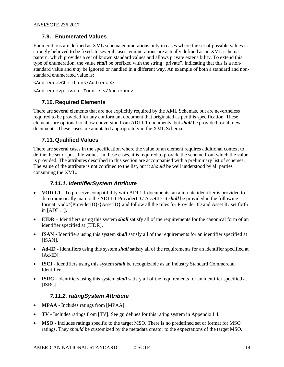# <span id="page-13-0"></span>**7.9. Enumerated Values**

Enumerations are defined as XML schema enumerations only in cases where the set of possible values is strongly believed to be fixed. In several cases, enumerations are actually defined as an XML schema pattern, which provides a set of known standard values and allows private extensibility. To extend this type of enumeration, the value *shall* be prefixed with the string "private", indicating that this is a nonstandard value and *may* be ignored or handled in a different way. An example of both a standard and nonstandard enumerated value is:

```
<Audience>Children</Audience>
<Audience>private:Toddler</Audience>
```
# <span id="page-13-1"></span>**7.10. Required Elements**

There are several elements that are not explicitly required by the XML Schemas, but are nevertheless required to be provided for any conformant document that originated as per this specification. These elements are optional to allow conversion from ADI 1.1 documents, but *shall* be provided for all new documents. These cases are annotated appropriately in the XML Schema.

# <span id="page-13-2"></span>**7.11. Qualified Values**

There are several cases in the specification where the value of an element requires additional context to define the set of possible values. In these cases, it is required to provide the scheme from which the value is provided. The attributes described in this section are accompanied with a preliminary list of schemes. The value of the attribute is not confined to the list, but it *should* be well understood by all parties consuming the XML.

## *7.11.1. identifierSystem Attribute*

- <span id="page-13-3"></span>• **VOD 1.1** - To preserve compatibility with ADI 1.1 documents, an alternate identifier is provided to deterministically map to the ADI 1.1 ProviderID / AssetID. It *shall* be provided in the following format: vod://{ProviderID}/{AssetID} and follow all the rules for Provider ID and Asset ID set forth in [\[ADI1.1\].](#page-5-8)
- **EIDR** Identifiers using this system *shall* satisfy all of the requirements for the canonical form of an identifier specified at [\[EIDR\].](#page-5-9)
- **ISAN** Identifiers using this system *shall* satisfy all of the requirements for an identifier specified at [\[ISAN\].](#page-5-10)
- **Ad-ID** Identifiers using this system *shall* satisfy all of the requirements for an identifier specified at  $[Ad-ID]$ .
- **ISCI** Identifiers using this system *shall* be recognizable as an Industry Standard Commercial Identifier.
- **ISRC** Identifiers using this system *shall* satisfy all of the requirements for an identifier specified at [\[ISRC\].](#page-5-12)

# *7.11.2. ratingSystem Attribute*

- <span id="page-13-4"></span>• **MPAA** - Includes ratings from [\[MPAA\].](#page-5-13)
- **TV** Includes ratings from [\[TV\].](#page-5-14) See guidelines for this rating system in Appendi[x I.4.](#page-37-1)
- **MSO** Includes ratings specific to the target MSO. There is no predefined set or format for MSO ratings. They *should* be customized by the metadata creator to the expectations of the target MSO.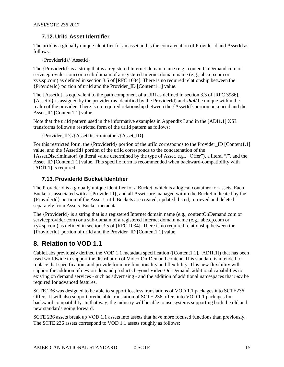# <span id="page-14-0"></span>**7.12. UriId Asset Identifier**

The uriId is a globally unique identifier for an asset and is the concatenation of ProviderId and AssetId as follows:

{ProviderId}/{AssetId}

The {ProviderId} is a string that is a registered Internet domain name (e.g., contentOnDemand.com or serviceprovider.com) or a sub-domain of a registered Internet domain name (e.g., abc.cp.com or xyz.sp.com) as defined in section 3.5 of [\[RFC 1034\].](#page-4-8) There is no required relationship between the {ProviderId} portion of uriId and the Provider\_ID [\[Content1.1\]](#page-5-15) value.

The {AssetId} is equivalent to the path component of a URI as defined in section 3.3 of [\[RFC 3986\].](#page-5-16) {AssetId} is assigned by the provider (as identified by the ProviderId) and *shall* be unique within the realm of the provider. There is no required relationship between the {AssetId} portion on a uriId and the Asset ID [\[Content1.1\]](#page-5-15) value.

Note that the uriId pattern used in the informative examples in [Appendix I](#page-18-0) and in th[e \[ADI1.1\]](#page-5-8) XSL transforms follows a restricted form of the uriId pattern as follows:

{Provider\_ID}/{AssetDiscriminator}/{Asset\_ID}

For this restricted form, the {ProviderId} portion of the uriId corresponds to the Provider I[D \[Content1.1\]](#page-5-15) value, and the {AssetId} portion of the uriId corresponds to the concatenation of the {AssetDiscriminator} (a literal value determined by the type of Asset, e.g., "Offer"), a literal "/", and the Asset\_ID [\[Content1.1\]](#page-5-15) value. This specific form is recommended when backward-compatibility with [\[ADI1.1\]](#page-5-8) is required.

## <span id="page-14-1"></span>**7.13. ProviderId Bucket Identifier**

The ProviderId is a globally unique identifier for a Bucket, which is a logical container for assets. Each Bucket is associated with a {ProviderId}, and all Assets are managed within the Bucket indicated by the {ProviderId} portion of the Asset UriId. Buckets are created, updated, listed, retrieved and deleted separately from Assets. Bucket metadata.

The {ProviderId} is a string that is a registered Internet domain name (e.g., contentOnDemand.com or serviceprovider.com) or a sub-domain of a registered Internet domain name (e.g., abc.cp.com or xyz.sp.com) as defined in section 3.5 of [\[RFC 1034\].](#page-4-8) There is no required relationship between the {ProviderId} portion of uriId and the Provider\_ID [\[Content1.1\]](#page-5-15) value.

# <span id="page-14-2"></span>**8. Relation to VOD 1.1**

CableLabs previously defined the VOD 1.1 metadata specification [\(\[Content1.1\],](#page-5-15) [\[ADI1.1\]\)](#page-5-8) that has been used worldwide to support the distribution of Video-On-Demand content. This standard is intended to replace that specification, and provide for more functionality and flexibility. This new flexibility will support the addition of new on-demand products beyond Video-On-Demand, additional capabilities to existing on demand services - such as advertising - and the addition of additional namespaces that *may* be required for advanced features.

SCTE 236 was designed to be able to support lossless translations of VOD 1.1 packages into SCTE236 Offers. It will also support predictable translation of SCTE 236 offers into VOD 1.1 packages for backward compatibility. In that way, the industry will be able to use systems supporting both the old and new standards going forward.

SCTE 236 assets break up VOD 1.1 assets into assets that have more focused functions than previously. The SCTE 236 assets correspond to VOD 1.1 assets roughly as follows: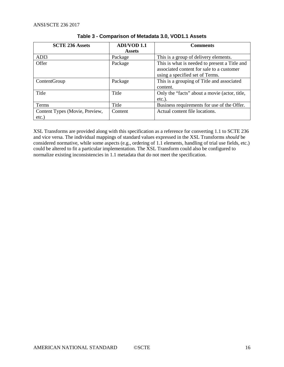<span id="page-15-0"></span>

| <b>SCTE 236 Assets</b>         | <b>ADI/VOD 1.1</b> | <b>Comments</b>                               |  |
|--------------------------------|--------------------|-----------------------------------------------|--|
|                                | <b>Assets</b>      |                                               |  |
| ADI3                           | Package            | This is a group of delivery elements.         |  |
| Offer                          | Package            | This is what is needed to present a Title and |  |
|                                |                    | associated content for sale to a customer     |  |
|                                |                    | using a specified set of Terms.               |  |
| ContentGroup                   | Package            | This is a grouping of Title and associated    |  |
|                                |                    | content.                                      |  |
| Title                          | Title              | Only the "facts" about a movie (actor, title, |  |
|                                |                    | $etc.$ ).                                     |  |
| <b>Terms</b>                   | Title              | Business requirements for use of the Offer.   |  |
| Content Types (Movie, Preview, | Content            | Actual content file locations.                |  |
| $etc.$ )                       |                    |                                               |  |

## **Table 3 - Comparison of Metadata 3.0, VOD1.1 Assets**

XSL Transforms are provided along with this specification as a reference for converting 1.1 to SCTE 236 and vice versa. The individual mappings of standard values expressed in the XSL Transforms *should* be considered normative, while some aspects (e.g., ordering of 1.1 elements, handling of trial use fields, etc.) could be altered to fit a particular implementation. The XSL Transform could also be configured to normalize existing inconsistencies in 1.1 metadata that do not meet the specification.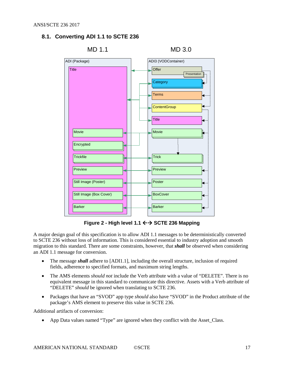# <span id="page-16-0"></span>**8.1. Converting ADI 1.1 to SCTE 236**



**Figure 2 - High level 1.1 SCTE 236 Mapping**

<span id="page-16-1"></span>A major design goal of this specification is to allow ADI 1.1 messages to be deterministically converted to SCTE 236 without loss of information. This is considered essential to industry adoption and smooth migration to this standard. There are some constraints, however, that *shall* be observed when considering an ADI 1.1 message for conversion.

- The message *shall* adhere to [\[ADI1.1\],](#page-5-8) including the overall structure, inclusion of required fields, adherence to specified formats, and maximum string lengths.
- The AMS elements *should not* include the Verb attribute with a value of "DELETE". There is no equivalent message in this standard to communicate this directive. Assets with a Verb attribute of "DELETE" *should* be ignored when translating to SCTE 236.
- Packages that have an "SVOD" app type *should* also have "SVOD" in the Product attribute of the package's AMS element to preserve this value in SCTE 236.

Additional artifacts of conversion:

• App Data values named "Type" are ignored when they conflict with the Asset\_Class.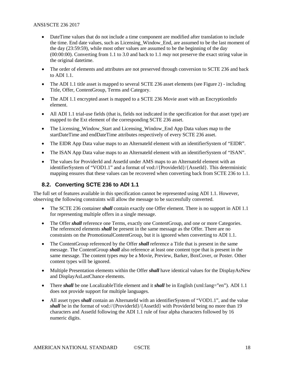- DateTime values that do not include a time component are modified after translation to include the time. End date values, such as Licensing\_Window\_End, are assumed to be the last moment of the day (23:59:59), while most other values are assumed to be the beginning of the day (00:00:00). Converting from 1.1 to 3.0 and back to 1.1 *may* not preserve the exact string value in the original datetime.
- The order of elements and attributes are not preserved through conversion to SCTE 236 and back to ADI 1.1.
- The ADI 1.1 title asset is mapped to several SCTE 236 asset elements (see [Figure](#page-16-1) 2) including Title, Offer, ContentGroup, Terms and Category.
- The ADI 1.1 encrypted asset is mapped to a SCTE 236 Movie asset with an EncryptionInfo element.
- All ADI 1.1 trial-use fields (that is, fields not indicated in the specification for that asset type) are mapped to the Ext element of the corresponding SCTE 236 asset.
- The Licensing\_Window\_Start and Licensing\_Window\_End App Data values map to the startDateTime and endDateTime attributes respectively of every SCTE 236 asset.
- The EIDR App Data value maps to an AlternateId element with an identifierSystem of "EIDR".
- The ISAN App Data value maps to an AlternateId element with an identifierSystem of "ISAN".
- The values for ProviderId and AssetId under AMS maps to an AlternateId element with an identifierSystem of "VOD1.1" and a format of vod://{ProviderId}/{AssetId}. This deterministic mapping ensures that these values can be recovered when converting back from SCTE 236 to 1.1.

## <span id="page-17-0"></span>**8.2. Converting SCTE 236 to ADI 1.1**

The full set of features available in this specification cannot be represented using ADI 1.1. However, observing the following constraints will allow the message to be successfully converted.

- The SCTE 236 container *shall* contain exactly one Offer element. There is no support in ADI 1.1 for representing multiple offers in a single message.
- The Offer *shall* reference one Terms, exactly one ContentGroup, and one or more Categories. The referenced elements *shall* be present in the same message as the Offer. There are no constraints on the PromotionalContentGroup, but it is ignored when converting to ADI 1.1.
- The ContentGroup referenced by the Offer *shall* reference a Title that is present in the same message. The ContentGroup *shall* also reference at least one content type that is present in the same message. The content types *may* be a Movie, Preview, Barker, BoxCover, or Poster. Other content types will be ignored.
- Multiple Presentation elements within the Offer *shall* have identical values for the DisplayAsNew and DisplayAsLastChance elements.
- There *shall* be one LocalizableTitle element and it *shall* be in English (xml:lang="en"). ADI 1.1 does not provide support for multiple languages.
- All asset types *shall* contain an AlternateId with an identifierSystem of "VOD1.1", and the value shall be in the format of vod://{ProviderId}/{AssetId} with ProviderId being no more than 19 characters and AssetId following the ADI 1.1 rule of four alpha characters followed by 16 numeric digits.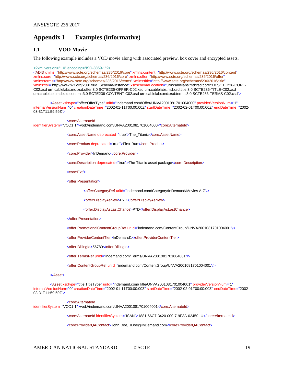# <span id="page-18-0"></span>**Appendix I Examples (informative)**

## **I.1 VOD Movie**

The following example includes a VOD movie along with associated preview, box cover and encrypted assets.

<?xml version="1.0" encoding="ISO-8859-1"?>

<ADI3 xmlns="http://www.scte.org/schemas/236/2016/core" xmlns:content="http://www.scte.org/schemas/236/2016/content" xmlns:core="http://www.scte.org/schemas/236/2016/core" xmlns:offer="http://www.scte.org/schemas/236/2016/offer" xmlns:terms="http://www.scte.org/schemas/236/2016/terms" xmlns:title="http://www.scte.org/schemas/236/2016/title" xmlns:xsi="http://www.w3.org/2001/XMLSchema-instance" xsi:schemaLocation="urn:cablelabs:md:xsd:core:3.0 SCTE236-CORE-C02.xsd urn:cablelabs:md:xsd:offer:3.0 SCTE236-OFFER-C02.xsd urn:cablelabs:md:xsd:title:3.0 SCTE236-TITLE-C02.xsd urn:cablelabs:md:xsd:content:3.0 SCTE236-CONTENT-C02.xsd urn:cablelabs:md:xsd:terms:3.0 SCTE236-TERMS-C02.xsd">

<Asset xsi:type="offer:OfferType" uriId="indemand.com/Offer/UNVA2001081701004000" providerVersionNum="1" internalVersionNum="0" creationDateTime="2002-01-11T00:00:00Z" startDateTime="2002-02-01T00:00:00Z" endDateTime="2002- 03-31T11:59:59Z">

<core:AlternateId identifierSystem="VOD1.1">vod://indemand.com/UNVA2001081701004000</core:AlternateId>

<core:AssetName deprecated="true">The\_Titanic</core:AssetName>

<core:Product deprecated="true">First-Run</core:Product>

<core:Provider>InDemand</core:Provider>

<core:Description deprecated="true">The Titanic asset package</core:Description>

<core:Ext/>

<offer:Presentation>

<offer:CategoryRef uriId="indemand.com/Category/InDemand/Movies A-Z"/>

<offer:DisplayAsNew>P7D</offer:DisplayAsNew>

<offer:DisplayAsLastChance>P7D</offer:DisplayAsLastChance>

</offer:Presentation>

<offer:PromotionalContentGroupRef uriId="indemand.com/ContentGroup/UNVA2001081701004001"/>

<offer:ProviderContentTier>InDemand1</offer:ProviderContentTier>

<offer:BillingId>56789</offer:BillingId>

<offer:TermsRef uriId="indemand.com/Terms/UNVA2001081701004001"/>

<offer:ContentGroupRef uriId="indemand.com/ContentGroup/UNVA2001081701004001"/>

#### </Asset>

<Asset xsi:type="title:TitleType" uriId="indemand.com/Title/UNVA2001081701004001" providerVersionNum="1" internalVersionNum="0" creationDateTime="2002-01-11T00:00:00Z" startDateTime="2002-02-01T00:00:00Z" endDateTime="2002- 03-31T11:59:59Z">

<core:AlternateId

identifierSystem="VOD1.1">vod://indemand.com/UNVA2001081701004001</core:AlternateId>

<core:AlternateId identifierSystem="ISAN">1881-66C7-3420-000-7-9F3A-02450- U</core:AlternateId>

<core:ProviderQAContact>John Doe, JDoe@InDemand.com</core:ProviderQAContact>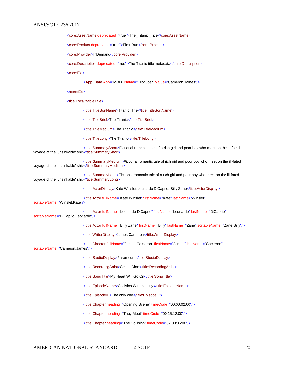<core:AssetName deprecated="true">The\_Titanic\_Title</core:AssetName>

<core:Product deprecated="true">First-Run</core:Product>

<core:Provider>InDemand</core:Provider>

<core:Description deprecated="true">The Titanic title metadata</core:Description>

<core:Ext>

<App\_Data App="MOD" Name="Producer" Value="Cameron,James"/>

</core:Ext>

<title:LocalizableTitle>

<title:TitleSortName>Titanic, The</title:TitleSortName>

<title:TitleBrief>The Titanic</title:TitleBrief>

<title:TitleMedium>The Titanic</title:TitleMedium>

<title:TitleLong>The Titanic</title:TitleLong>

<title:SummaryShort>Fictional romantic tale of a rich girl and poor boy who meet on the ill-fated voyage of the 'unsinkable' ship</title:SummaryShort>

<title:SummaryMedium>Fictional romantic tale of rich girl and poor boy who meet on the ill-fated voyage of the 'unsinkable' ship</title:SummaryMedium>

<title:SummaryLong>Fictional romantic tale of a rich girl and poor boy who meet on the ill-fated voyage of the 'unsinkable' ship</title:SummaryLong>

<title:ActorDisplay>Kate Winslet,Leonardo DiCaprio, Billy Zane</title:ActorDisplay>

<title:Actor fullName="Kate Winslet" firstName="Kate" lastName="Winslet"

sortableName="Winslet,Kate"/>

<title:Actor fullName="Leonardo DiCaprio" firstName="Leonardo" lastName="DiCaprio" sortableName="DiCaprio,Leonardo"/>

<title:Actor fullName="Billy Zane" firstName="Billy" lastName="Zane" sortableName="Zane,Billy"/>

<title:WriterDisplay>James Cameron</title:WriterDisplay>

<title:Director fullName="James Cameron" firstName="James" lastName="Cameron"

sortableName="Cameron,James"/>

<title:StudioDisplay>Paramount</title:StudioDisplay>

<title:RecordingArtist>Celine Dion</title:RecordingArtist>

<title:SongTitle>My Heart Will Go On</title:SongTitle>

<title:EpisodeName>Collision With destiny</title:EpisodeName>

<title:EpisodeID>The only one</title:EpisodeID>

<title:Chapter heading="Opening Scene" timeCode="00:00:02:00"/>

<title:Chapter heading="They Meet" timeCode="00:15:12:00"/>

<title:Chapter heading="The Collision" timeCode="02:03:06:00"/>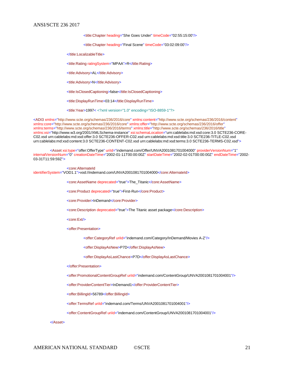<title:Chapter heading="She Goes Under" timeCode="02:55:15:00"/>

<title:Chapter heading="Final Scene" timeCode="03:02:09:00"/>

</title:LocalizableTitle>

<title:Rating ratingSystem="MPAA">R</title:Rating>

<title:Advisory>AL</title:Advisory>

<title:Advisory>N</title:Advisory>

<title:IsClosedCaptioning>false</title:IsClosedCaptioning>

<title:DisplayRunTime>03:14</title:DisplayRunTime>

<title:Year>1997< <?xml version="1.0" encoding="ISO-8859-1"?>

<ADI3 xmlns="http://www.scte.org/schemas/236/2016/core" xmlns:content="http://www.scte.org/schemas/236/2016/content" xmlns:core="http://www.scte.org/schemas/236/2016/core" xmlns:offer="http://www.scte.org/schemas/236/2016/offer" xmlns:terms="http://www.scte.org/schemas/236/2016/terms" xmlns:title="http://www.scte.org/schemas/236/2016/title" xmlns:xsi="http://www.w3.org/2001/XMLSchema-instance" xsi:schemaLocation="urn:cablelabs:md:xsd:core:3.0 SCTE236-CORE-C02.xsd urn:cablelabs:md:xsd:offer:3.0 SCTE236-OFFER-C02.xsd urn:cablelabs:md:xsd:title:3.0 SCTE236-TITLE-C02.xsd urn:cablelabs:md:xsd:content:3.0 SCTE236-CONTENT-C02.xsd urn:cablelabs:md:xsd:terms:3.0 SCTE236-TERMS-C02.xsd">

<Asset xsi:type="offer:OfferType" uriId="indemand.com/Offer/UNVA2001081701004000" providerVersionNum="1" internalVersionNum="0" creationDateTime="2002-01-11T00:00:00Z" startDateTime="2002-02-01T00:00:00Z" endDateTime="2002- 03-31T11:59:59Z">

<core:AlternateId identifierSystem="VOD1.1">vod://indemand.com/UNVA2001081701004000</core:AlternateId>

<core:AssetName deprecated="true">The\_Titanic</core:AssetName>

<core:Product deprecated="true">First-Run</core:Product>

<core:Provider>InDemand</core:Provider>

<core:Description deprecated="true">The Titanic asset package</core:Description>

<core:Ext/>

<offer:Presentation>

<offer:CategoryRef uriId="indemand.com/Category/InDemand/Movies A-Z"/>

<offer:DisplayAsNew>P7D</offer:DisplayAsNew>

<offer:DisplayAsLastChance>P7D</offer:DisplayAsLastChance>

</offer:Presentation>

<offer:PromotionalContentGroupRef uriId="indemand.com/ContentGroup/UNVA2001081701004001"/>

<offer:ProviderContentTier>InDemand1</offer:ProviderContentTier>

<offer:BillingId>56789</offer:BillingId>

<offer:TermsRef uriId="indemand.com/Terms/UNVA2001081701004001"/>

<offer:ContentGroupRef uriId="indemand.com/ContentGroup/UNVA2001081701004001"/>

</Asset>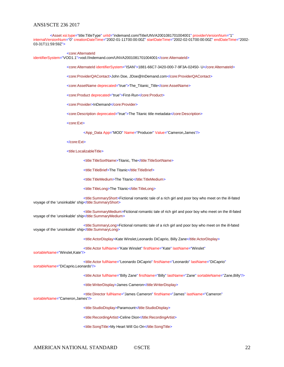<Asset xsi:type="title:TitleType" uriId="indemand.com/Title/UNVA2001081701004001" providerVersionNum="1" internalVersionNum="0" creationDateTime="2002-01-11T00:00:00Z" startDateTime="2002-02-01T00:00:00Z" endDateTime="2002- 03-31T11:59:59Z">

<core:AlternateId

identifierSystem="VOD1.1">vod://indemand.com/UNVA2001081701004001</core:AlternateId>

<core:AlternateId identifierSystem="ISAN">1881-66C7-3420-000-7-9F3A-02450- U</core:AlternateId>

<core:ProviderQAContact>John Doe, JDoe@InDemand.com</core:ProviderQAContact>

<core:AssetName deprecated="true">The\_Titanic\_Title</core:AssetName>

<core:Product deprecated="true">First-Run</core:Product>

<core:Provider>InDemand</core:Provider>

<core:Description deprecated="true">The Titanic title metadata</core:Description>

<core:Ext>

<App\_Data App="MOD" Name="Producer" Value="Cameron,James"/>

</core:Ext>

<title:LocalizableTitle>

<title:TitleSortName>Titanic, The</title:TitleSortName>

<title:TitleBrief>The Titanic</title:TitleBrief>

<title:TitleMedium>The Titanic</title:TitleMedium>

<title:TitleLong>The Titanic</title:TitleLong>

<title:SummaryShort>Fictional romantic tale of a rich girl and poor boy who meet on the ill-fated voyage of the 'unsinkable' ship</title:SummaryShort>

<title:SummaryMedium>Fictional romantic tale of rich girl and poor boy who meet on the ill-fated voyage of the 'unsinkable' ship</title:SummaryMedium>

<title:SummaryLong>Fictional romantic tale of a rich girl and poor boy who meet on the ill-fated voyage of the 'unsinkable' ship</title:SummaryLong>

<title:ActorDisplay>Kate Winslet,Leonardo DiCaprio, Billy Zane</title:ActorDisplay>

<title:Actor fullName="Kate Winslet" firstName="Kate" lastName="Winslet"

sortableName="Winslet,Kate"/>

<title:Actor fullName="Leonardo DiCaprio" firstName="Leonardo" lastName="DiCaprio" sortableName="DiCaprio,Leonardo"/>

<title:Actor fullName="Billy Zane" firstName="Billy" lastName="Zane" sortableName="Zane,Billy"/>

<title:WriterDisplay>James Cameron</title:WriterDisplay>

<title:Director fullName="James Cameron" firstName="James" lastName="Cameron"

sortableName="Cameron,James"/>

<title:StudioDisplay>Paramount</title:StudioDisplay>

<title:RecordingArtist>Celine Dion</title:RecordingArtist>

<title:SongTitle>My Heart Will Go On</title:SongTitle>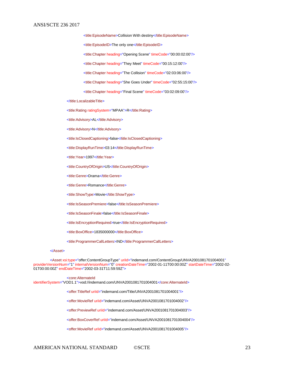<title:EpisodeName>Collision With destiny</title:EpisodeName> <title:EpisodeID>The only one</title:EpisodeID> <title:Chapter heading="Opening Scene" timeCode="00:00:02:00"/> <title:Chapter heading="They Meet" timeCode="00:15:12:00"/> <title:Chapter heading="The Collision" timeCode="02:03:06:00"/> <title:Chapter heading="She Goes Under" timeCode="02:55:15:00"/> <title:Chapter heading="Final Scene" timeCode="03:02:09:00"/>

</title:LocalizableTitle>

<title:Rating ratingSystem="MPAA">R</title:Rating>

<title:Advisory>AL</title:Advisory>

<title:Advisory>N</title:Advisory>

<title:IsClosedCaptioning>false</title:IsClosedCaptioning>

<title:DisplayRunTime>03:14</title:DisplayRunTime>

<title:Year>1997</title:Year>

<title:CountryOfOrigin>US</title:CountryOfOrigin>

<title:Genre>Drama</title:Genre>

<title:Genre>Romance</title:Genre>

<title:ShowType>Movie</title:ShowType>

<title:IsSeasonPremiere>false</title:IsSeasonPremiere>

<title:IsSeasonFinale>false</title:IsSeasonFinale>

<title:IsEncryptionRequired>true</title:IsEncryptionRequired>

<title:BoxOffice>1835000000</title:BoxOffice>

<title:ProgrammerCallLetters>IND</title:ProgrammerCallLetters>

#### </Asset>

<Asset xsi:type="offer:ContentGroupType" urild="indemand.com/ContentGroup/UNVA2001081701004001" providerVersionNum="1" internalVersionNum="0" creationDateTime="2002-01-11T00:00:00Z" startDateTime="2002-02- 01T00:00:00Z" endDateTime="2002-03-31T11:59:59Z">

<core:AlternateId

identifierSystem="VOD1.1">vod://indemand.com/UNVA2001081701004001</core:AlternateId>

<offer:TitleRef uriId="indemand.com/Title/UNVA2001081701004001"/>

<offer:MovieRef urild="indemand.com/Asset/UNVA2001081701004002"/>

<offer:PreviewRef uriId="indemand.com/Asset/UNVA2001081701004003"/>

<offer:BoxCoverRef uriId="indemand.com/Asset/UNVA2001081701004004"/>

<offer:MovieRef urild="indemand.com/Asset/UNVA2001081701004005"/>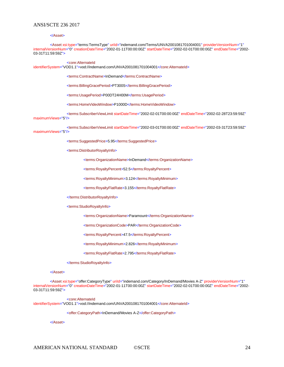#### </Asset>

<Asset xsi:type="terms:TermsType" uriId="indemand.com/Terms/UNVA2001081701004001" providerVersionNum="1" internalVersionNum="0" creationDateTime="2002-01-11T00:00:00Z" startDateTime="2002-02-01T00:00:00Z" endDateTime="2002- 03-31T11:59:59Z">

#### <core:AlternateId

identifierSystem="VOD1.1">vod://indemand.com/UNVA2001081701004001</core:AlternateId>

<terms:ContractName>InDemand</terms:ContractName>

<terms:BillingGracePeriod>PT300S</terms:BillingGracePeriod>

<terms:UsagePeriod>P00DT24H00M</terms:UsagePeriod>

<terms:HomeVideoWindow>P1000D</terms:HomeVideoWindow>

<terms:SubscriberViewLimit startDateTime="2002-02-01T00:00:00Z" endDateTime="2002-02-28T23:59:59Z" maximumViews="5"/>

<terms:SubscriberViewLimit startDateTime="2002-03-01T00:00:00Z" endDateTime="2002-03-31T23:59:59Z" maximumViews="5"/>

<terms:SuggestedPrice>5.95</terms:SuggestedPrice>

<terms:DistributorRoyaltyInfo>

<terms:OrganizationName>InDemand</terms:OrganizationName>

<terms:RoyaltyPercent>52.5</terms:RoyaltyPercent>

<terms:RoyaltyMinimum>3.124</terms:RoyaltyMinimum>

<terms:RoyaltyFlatRate>3.155</terms:RoyaltyFlatRate>

#### </terms:DistributorRoyaltyInfo>

<terms:StudioRoyaltyInfo>

<terms:OrganizationName>Paramount</terms:OrganizationName>

<terms:OrganizationCode>PAR</terms:OrganizationCode>

<terms:RoyaltyPercent>47.5</terms:RoyaltyPercent>

<terms:RoyaltyMinimum>2.826</terms:RoyaltyMinimum>

<terms:RoyaltyFlatRate>2.795</terms:RoyaltyFlatRate>

#### </terms:StudioRoyaltyInfo>

#### </Asset>

<Asset xsi:type="offer:CategoryType" uriId="indemand.com/Category/InDemand/Movies A-Z" providerVersionNum="1" internalVersionNum="0" creationDateTime="2002-01-11T00:00:00Z" startDateTime="2002-02-01T00:00:00Z" endDateTime="2002- 03-31T11:59:59Z">

<core:AlternateId

identifierSystem="VOD1.1">vod://indemand.com/UNVA2001081701004001</core:AlternateId>

<offer:CategoryPath>InDemand/Movies A-Z</offer:CategoryPath>

</Asset>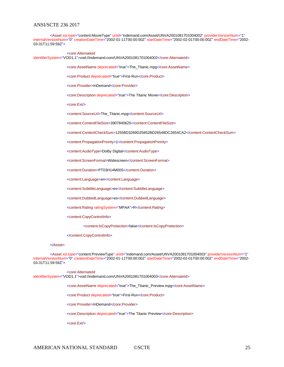<Asset xsi:type="content:MovieType" uriId="indemand.com/Asset/UNVA2001081701004002" providerVersionNum="1" internalVersionNum="0" creationDateTime="2002-01-11T00:00:00Z" startDateTime="2002-02-01T00:00:00Z" endDateTime="2002- 03-31T11:59:59Z"> <core:AlternateId identifierSystem="VOD1.1">vod://indemand.com/UNVA2001081701004002</core:AlternateId> <core:AssetName deprecated="true">The\_Titanic.mpg</core:AssetName> <core:Product deprecated="true">First-Run</core:Product> <core:Provider>InDemand</core:Provider> <core:Description deprecated="true">The Titanic Movie</core:Description> <core:Ext/> <content:SourceUrl>The\_Titanic.mpg</content:SourceUrl> <content:ContentFileSize>3907840625</content:ContentFileSize>

<content:ContentCheckSum>12558D3269D25852BD26548DC2654CA2</content:ContentCheckSum>

<content:PropagationPriority>1</content:PropagationPriority>

<content:AudioType>Dolby Digital</content:AudioType>

<content:ScreenFormat>Widescreen</content:ScreenFormat>

<content:Duration>PT03H14M00S</content:Duration>

<content:Language>en</content:Language>

<content:SubtitleLanguage>es</content:SubtitleLanguage>

<content:DubbedLanguage>es</content:DubbedLanguage>

<content:Rating ratingSystem="MPAA">R</content:Rating>

<content:CopyControlInfo>

<content:IsCopyProtection>false</content:IsCopyProtection>

</content:CopyControlInfo>

#### </Asset>

<Asset xsi:type="content:PreviewType" uriId="indemand.com/Asset/UNVA2001081701004003" providerVersionNum="1" internalVersionNum="0" creationDateTime="2002-01-11T00:00:00Z" startDateTime="2002-02-01T00:00:00Z" endDateTime="2002- 03-31T11:59:59Z">

<core:AlternateId identifierSystem="VOD1.1">vod://indemand.com/UNVA2001081701004003</core:AlternateId>

<core:AssetName deprecated="true">The\_Titanic\_Preview.mpg</core:AssetName>

<core:Product deprecated="true">First-Run</core:Product>

<core:Provider>InDemand</core:Provider>

<core:Description deprecated="true">The Titanic Preview</core:Description>

<core:Ext/>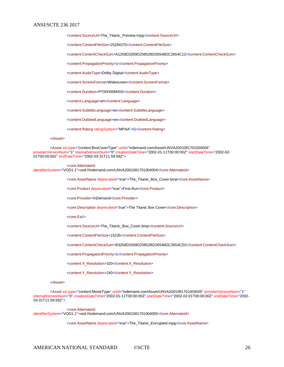<content:SourceUrl>The\_Titanic\_Preview.mpg</content:SourceUrl>

<content:ContentFileSize>25284375</content:ContentFileSize>

<content:ContentCheckSum>A1258D3269D25852BD26548DC2654C12</content:ContentCheckSum>

<content:PropagationPriority>1</content:PropagationPriority>

<content:AudioType>Dolby Digital</content:AudioType>

<content:ScreenFormat>Widescreen</content:ScreenFormat>

<content:Duration>PT00H00M45S</content:Duration>

<content:Language>en</content:Language>

<content:SubtitleLanguage>es</content:SubtitleLanguage>

<content:DubbedLanguage>es</content:DubbedLanguage>

<content:Rating ratingSystem="MPAA">G</content:Rating>

#### </Asset>

<Asset xsi:type="content:BoxCoverType" uriId="indemand.com/Asset/UNVA2001081701004004" providerVersionNum="1" internalVersionNum="0" creationDateTime="2002-01-11T00:00:00Z" startDateTime="2002-02- 01T00:00:00Z" endDateTime="2002-03-31T11:59:59Z">

#### <core:AlternateId

identifierSystem="VOD1.1">vod://indemand.com/UNVA2001081701004004</core:AlternateId>

<core:AssetName deprecated="true">The\_Titanic\_Box\_Cover.bmp</core:AssetName>

<core:Product deprecated="true">First-Run</core:Product>

<core:Provider>InDemand</core:Provider>

<core:Description deprecated="true">The Titanic Box Cover</core:Description>

<core:Ext/>

<content:SourceUrl>The\_Titanic\_Box\_Cover.bmp</content:SourceUrl>

<content:ContentFileSize>15235</content:ContentFileSize>

<content:ContentCheckSum>B3258D3269D25852BD26548DC2654CD2</content:ContentCheckSum>

<content:PropagationPriority>1</content:PropagationPriority>

<content:X\_Resolution>320</content:X\_Resolution>

<content:Y\_Resolution>240</content:Y\_Resolution>

#### </Asset>

<Asset xsi:type="content:MovieType" uriId="indemand.com/Asset/UNVA2001081701004005" providerVersionNum="1" internalVersionNum="0" creationDateTime="2002-01-11T00:00:00Z" startDateTime="2002-02-01T00:00:00Z" endDateTime="2002- 03-31T11:59:59Z">

<core:AlternateId identifierSystem="VOD1.1">vod://indemand.com/UNVA2001081701004005</core:AlternateId>

<core:AssetName deprecated="true">The\_Titanic\_Encrypted.mpg</core:AssetName>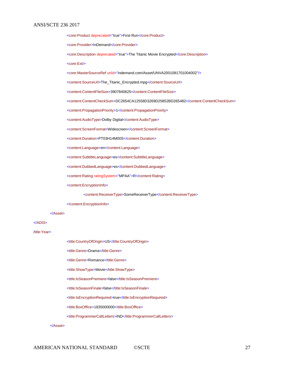<core:Product deprecated="true">First-Run</core:Product> <core:Provider>InDemand</core:Provider> <core:Description deprecated="true">The Titanic Movie Encrypted</core:Description> <core:Ext/> <core:MasterSourceRef uriId="indemand.com/Asset/UNVA2001081701004002"/> <content:SourceUrl>The\_Titanic\_Encrypted.mpg</content:SourceUrl> <content:ContentFileSize>3907840625</content:ContentFileSize> <content:ContentCheckSum>DC2654CA12558D3269D25852BD265482</content:ContentCheckSum> <content:PropagationPriority>1</content:PropagationPriority> <content:AudioType>Dolby Digital</content:AudioType> <content:ScreenFormat>Widescreen</content:ScreenFormat> <content:Duration>PT03H14M00S</content:Duration> <content:Language>en</content:Language> <content:SubtitleLanguage>es</content:SubtitleLanguage> <content:DubbedLanguage>es</content:DubbedLanguage> <content:Rating ratingSystem="MPAA">R</content:Rating> <content:EncryptionInfo> <content:ReceiverType>SomeReceiverType</content:ReceiverType> </content:EncryptionInfo> </Asset> <title:CountryOfOrigin>US</title:CountryOfOrigin> <title:Genre>Drama</title:Genre>

<title:Genre>Romance</title:Genre>

<title:ShowType>Movie</title:ShowType>

<title:IsSeasonPremiere>false</title:IsSeasonPremiere>

<title:IsSeasonFinale>false</title:IsSeasonFinale>

<title:IsEncryptionRequired>true</title:IsEncryptionRequired>

<title:BoxOffice>1835000000</title:BoxOffice>

<title:ProgrammerCallLetters>IND</title:ProgrammerCallLetters>

</Asset>

</ADI3>

/title:Year>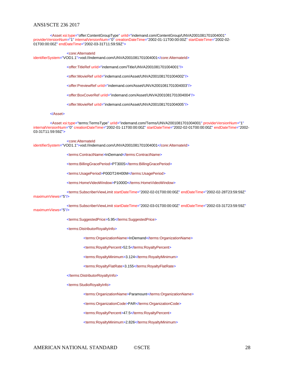<Asset xsi:type="offer:ContentGroupType" uriId="indemand.com/ContentGroup/UNVA2001081701004001" providerVersionNum="1" internalVersionNum="0" creationDateTime="2002-01-11T00:00:00Z" startDateTime="2002-02- 01T00:00:00Z" endDateTime="2002-03-31T11:59:59Z">

<core:AlternateId

identifierSystem="VOD1.1">vod://indemand.com/UNVA2001081701004001</core:AlternateId>

<offer:TitleRef uriId="indemand.com/Title/UNVA2001081701004001"/>

<offer:MovieRef urild="indemand.com/Asset/UNVA2001081701004002"/>

<offer:PreviewRef uriId="indemand.com/Asset/UNVA2001081701004003"/>

<offer:BoxCoverRef uriId="indemand.com/Asset/UNVA2001081701004004"/>

<offer:MovieRef uriId="indemand.com/Asset/UNVA2001081701004005"/>

#### </Asset>

<Asset xsi:type="terms:TermsType" uriId="indemand.com/Terms/UNVA2001081701004001" providerVersionNum="1" internalVersionNum="0" creationDateTime="2002-01-11T00:00:00Z" startDateTime="2002-02-01T00:00:00Z" endDateTime="2002- 03-31T11:59:59Z">

#### <core:AlternateId

identifierSystem="VOD1.1">vod://indemand.com/UNVA2001081701004001</core:AlternateId>

<terms:ContractName>InDemand</terms:ContractName>

<terms:BillingGracePeriod>PT300S</terms:BillingGracePeriod>

<terms:UsagePeriod>P00DT24H00M</terms:UsagePeriod>

<terms:HomeVideoWindow>P1000D</terms:HomeVideoWindow>

<terms:SubscriberViewLimit startDateTime="2002-02-01T00:00:00Z" endDateTime="2002-02-28T23:59:59Z" maximumViews="5"/>

<terms:SubscriberViewLimit startDateTime="2002-03-01T00:00:00Z" endDateTime="2002-03-31T23:59:59Z" maximumViews="5"/>

<terms:SuggestedPrice>5.95</terms:SuggestedPrice>

<terms:DistributorRoyaltyInfo>

<terms:OrganizationName>InDemand</terms:OrganizationName>

<terms:RoyaltyPercent>52.5</terms:RoyaltyPercent>

<terms:RoyaltyMinimum>3.124</terms:RoyaltyMinimum>

<terms:RoyaltyFlatRate>3.155</terms:RoyaltyFlatRate>

</terms:DistributorRoyaltyInfo>

<terms:StudioRoyaltyInfo>

<terms:OrganizationName>Paramount</terms:OrganizationName>

<terms:OrganizationCode>PAR</terms:OrganizationCode>

<terms:RoyaltyPercent>47.5</terms:RoyaltyPercent>

<terms:RoyaltyMinimum>2.826</terms:RoyaltyMinimum>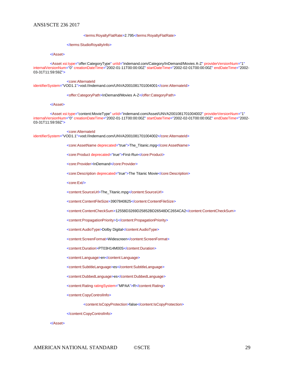#### <terms:RoyaltyFlatRate>2.795</terms:RoyaltyFlatRate>

#### </terms:StudioRoyaltyInfo>

#### </Asset>

<Asset xsi:type="offer:CategoryType" uriId="indemand.com/Category/InDemand/Movies A-Z" providerVersionNum="1" internalVersionNum="0" creationDateTime="2002-01-11T00:00:00Z" startDateTime="2002-02-01T00:00:00Z" endDateTime="2002- 03-31T11:59:59Z">

#### <core:AlternateId

identifierSystem="VOD1.1">vod://indemand.com/UNVA2001081701004001</core:AlternateId>

<offer:CategoryPath>InDemand/Movies A-Z</offer:CategoryPath>

#### </Asset>

<Asset xsi:type="content:MovieType" uriId="indemand.com/Asset/UNVA2001081701004002" providerVersionNum="1" internalVersionNum="0" creationDateTime="2002-01-11T00:00:00Z" startDateTime="2002-02-01T00:00:00Z" endDateTime="2002- 03-31T11:59:59Z">

<core:AlternateId identifierSystem="VOD1.1">vod://indemand.com/UNVA2001081701004002</core:AlternateId>

<core:AssetName deprecated="true">The\_Titanic.mpg</core:AssetName>

<core:Product deprecated="true">First-Run</core:Product>

<core:Provider>InDemand</core:Provider>

<core:Description deprecated="true">The Titanic Movie</core:Description>

<core:Ext/>

<content:SourceUrl>The\_Titanic.mpg</content:SourceUrl>

<content:ContentFileSize>3907840625</content:ContentFileSize>

<content:ContentCheckSum>12558D3269D25852BD26548DC2654CA2</content:ContentCheckSum>

<content:PropagationPriority>1</content:PropagationPriority>

<content:AudioType>Dolby Digital</content:AudioType>

<content:ScreenFormat>Widescreen</content:ScreenFormat>

<content:Duration>PT03H14M00S</content:Duration>

<content:Language>en</content:Language>

<content:SubtitleLanguage>es</content:SubtitleLanguage>

<content:DubbedLanguage>es</content:DubbedLanguage>

<content:Rating ratingSystem="MPAA">R</content:Rating>

<content:CopyControlInfo>

<content:IsCopyProtection>false</content:IsCopyProtection>

</content:CopyControlInfo>

</Asset>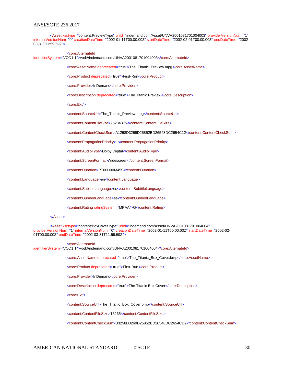<Asset xsi:type="content:PreviewType" uriId="indemand.com/Asset/UNVA2001081701004003" providerVersionNum="1" internalVersionNum="0" creationDateTime="2002-01-11T00:00:00Z" startDateTime="2002-02-01T00:00:00Z" endDateTime="2002- 03-31T11:59:59Z">

<core:AlternateId identifierSystem="VOD1.1">vod://indemand.com/UNVA2001081701004003</core:AlternateId>

<core:AssetName deprecated="true">The\_Titanic\_Preview.mpg</core:AssetName>

<core:Product deprecated="true">First-Run</core:Product>

<core:Provider>InDemand</core:Provider>

<core:Description deprecated="true">The Titanic Preview</core:Description>

<core:Ext/>

<content:SourceUrl>The\_Titanic\_Preview.mpg</content:SourceUrl>

<content:ContentFileSize>25284375</content:ContentFileSize>

<content:ContentCheckSum>A1258D3269D25852BD26548DC2654C12</content:ContentCheckSum>

<content:PropagationPriority>1</content:PropagationPriority>

<content:AudioType>Dolby Digital</content:AudioType>

<content:ScreenFormat>Widescreen</content:ScreenFormat>

<content:Duration>PT00H00M45S</content:Duration>

<content:Language>en</content:Language>

<content:SubtitleLanguage>es</content:SubtitleLanguage>

<content:DubbedLanguage>es</content:DubbedLanguage>

<content:Rating ratingSystem="MPAA">G</content:Rating>

#### </Asset>

<Asset xsi:type="content:BoxCoverType" uriId="indemand.com/Asset/UNVA2001081701004004" providerVersionNum="1" internalVersionNum="0" creationDateTime="2002-01-11T00:00:00Z" startDateTime="2002-02- 01T00:00:00Z" endDateTime="2002-03-31T11:59:59Z">

<core:AlternateId

identifierSystem="VOD1.1">vod://indemand.com/UNVA2001081701004004</core:AlternateId>

<core:AssetName deprecated="true">The\_Titanic\_Box\_Cover.bmp</core:AssetName>

<core:Product deprecated="true">First-Run</core:Product>

<core:Provider>InDemand</core:Provider>

<core:Description deprecated="true">The Titanic Box Cover</core:Description>

<core:Ext/>

<content:SourceUrl>The\_Titanic\_Box\_Cover.bmp</content:SourceUrl>

<content:ContentFileSize>15235</content:ContentFileSize>

<content:ContentCheckSum>B3258D3269D25852BD26548DC2654CD2</content:ContentCheckSum>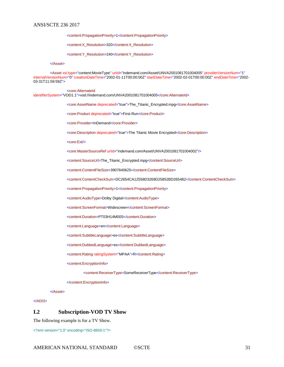<content:PropagationPriority>1</content:PropagationPriority>

<content:X\_Resolution>320</content:X\_Resolution>

<content:Y\_Resolution>240</content:Y\_Resolution>

</Asset>

<Asset xsi:type="content:MovieType" uriId="indemand.com/Asset/UNVA2001081701004005" providerVersionNum="1" internalVersionNum="0" creationDateTime="2002-01-11T00:00:00Z" startDateTime="2002-02-01T00:00:00Z" endDateTime="2002- 03-31T11:59:59Z">

<core:AlternateId

identifierSystem="VOD1.1">vod://indemand.com/UNVA2001081701004005</core:AlternateId>

<core:AssetName deprecated="true">The\_Titanic\_Encrypted.mpg</core:AssetName>

<core:Product deprecated="true">First-Run</core:Product>

<core:Provider>InDemand</core:Provider>

<core:Description deprecated="true">The Titanic Movie Encrypted</core:Description>

<core:Ext/>

<core:MasterSourceRef uriId="indemand.com/Asset/UNVA2001081701004002"/>

<content:SourceUrl>The\_Titanic\_Encrypted.mpg</content:SourceUrl>

<content:ContentFileSize>3907840625</content:ContentFileSize>

<content:ContentCheckSum>DC2654CA12558D3269D25852BD265482</content:ContentCheckSum>

<content:PropagationPriority>1</content:PropagationPriority>

<content:AudioType>Dolby Digital</content:AudioType>

<content:ScreenFormat>Widescreen</content:ScreenFormat>

<content:Duration>PT03H14M00S</content:Duration>

<content:Language>en</content:Language>

<content:SubtitleLanguage>es</content:SubtitleLanguage>

<content:DubbedLanguage>es</content:DubbedLanguage>

<content:Rating ratingSystem="MPAA">R</content:Rating>

<content:EncryptionInfo>

<content:ReceiverType>SomeReceiverType</content:ReceiverType>

</content:EncryptionInfo>

</Asset>

</ADI3>

## **I.2 Subscription-VOD TV Show**

The following example is for a TV Show.

<?xml version="1.0" encoding="ISO-8859-1"?>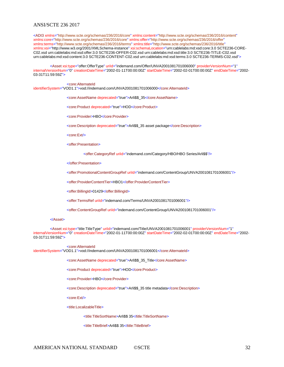<ADI3 xmlns="http://www.scte.org/schemas/236/2016/core" xmlns:content="http://www.scte.org/schemas/236/2016/content" xmlns:core="http://www.scte.org/schemas/236/2016/core" xmlns:offer="http://www.scte.org/schemas/236/2016/offer" xmlns:terms="http://www.scte.org/schemas/236/2016/terms" xmlns:title="http://www.scte.org/schemas/236/2016/title" xmlns:xsi="http://www.w3.org/2001/XMLSchema-instance" xsi:schemaLocation="urn:cablelabs:md:xsd:core:3.0 SCTE236-CORE-C02.xsd urn:cablelabs:md:xsd:offer:3.0 SCTE236-OFFER-C02.xsd urn:cablelabs:md:xsd:title:3.0 SCTE236-TITLE-C02.xsd urn:cablelabs:md:xsd:content:3.0 SCTE236-CONTENT-C02.xsd urn:cablelabs:md:xsd:terms:3.0 SCTE236-TERMS-C02.xsd">

<Asset xsi:type="offer:OfferType" uriId="indemand.com/Offer/UNVA2001081701006000" providerVersionNum="1" internalVersionNum="0" creationDateTime="2002-01-11T00:00:00Z" startDateTime="2002-02-01T00:00:00Z" endDateTime="2002- 03-31T11:59:59Z">

<core:AlternateId

identifierSystem="VOD1.1">vod://indemand.com/UNVA2001081701006000</core:AlternateId>

<core:AssetName deprecated="true">Arli\$\$\_35</core:AssetName>

<core:Product deprecated="true">HOD</core:Product>

<core:Provider>HBO</core:Provider>

<core:Description deprecated="true">Arli\$\$\_35 asset package</core:Description>

<core:Ext/>

<offer:Presentation>

<offer:CategoryRef uriId="indemand.com/Category/HBO/HBO Series/Arli\$\$"/>

</offer:Presentation>

<offer:PromotionalContentGroupRef uriId="indemand.com/ContentGroup/UNVA2001081701006001"/>

<offer:ProviderContentTier>HBO1</offer:ProviderContentTier>

<offer:BillingId>01429</offer:BillingId>

<offer:TermsRef uriId="indemand.com/Terms/UNVA2001081701006001"/>

<offer:ContentGroupRef uriId="indemand.com/ContentGroup/UNVA2001081701006001"/>

#### </Asset>

<Asset xsi:type="title:TitleType" uriId="indemand.com/Title/UNVA2001081701006001" providerVersionNum="1" internalVersionNum="0" creationDateTime="2002-01-11T00:00:00Z" startDateTime="2002-02-01T00:00:00Z" endDateTime="2002- 03-31T11:59:59Z">

<core:AlternateId

identifierSystem="VOD1.1">vod://indemand.com/UNVA2001081701006001</core:AlternateId>

<core:AssetName deprecated="true">Arli\$\$\_35\_Title</core:AssetName>

<core:Product deprecated="true">HOD</core:Product>

<core:Provider>HBO</core:Provider>

<core:Description deprecated="true">Arli\$\$\_35 title metadata</core:Description>

<core:Ext/>

<title:LocalizableTitle>

<title:TitleSortName>Arli\$\$ 35</title:TitleSortName>

<title:TitleBrief>Arli\$\$ 35</title:TitleBrief>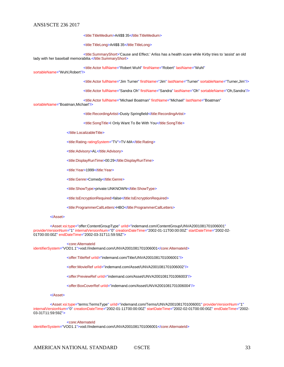<title:TitleMedium>Arli\$\$ 35</title:TitleMedium>

<title:TitleLong>Arli\$\$ 35</title:TitleLong>

<title:SummaryShort>'Cause and Effect.' Arliss has a health scare while Kirby tries to 'assist' an old lady with her baseball memorabilia.</title:SummaryShort>

<title:Actor fullName="Robert Wuhl" firstName="Robert" lastName="Wuhl"

sortableName="Wuhl,Robert"/>

<title:Actor fullName="Jim Turner" firstName="Jim" lastName="Turner" sortableName="Turner,Jim"/>

<title:Actor fullName="Sandra Oh" firstName="Sandra" lastName="Oh" sortableName="Oh,Sandra"/>

<title:Actor fullName="Michael Boatman" firstName="Michael" lastName="Boatman"

## sortableName="Boatman,Michael"/>

<title:RecordingArtist>Dusty Springfield</title:RecordingArtist>

<title:SongTitle>I Only Want To Be With You</title:SongTitle>

</title:LocalizableTitle>

<title:Rating ratingSystem="TV">TV-MA</title:Rating>

<title:Advisory>AL</title:Advisory>

<title:DisplayRunTime>00:29</title:DisplayRunTime>

<title:Year>1999</title:Year>

<title:Genre>Comedy</title:Genre>

<title:ShowType>private:UNKNOWN</title:ShowType>

<title:IsEncryptionRequired>false</title:IsEncryptionRequired>

<title:ProgrammerCallLetters>HBO</title:ProgrammerCallLetters>

#### </Asset>

<Asset xsi:type="offer:ContentGroupType" uriId="indemand.com/ContentGroup/UNVA2001081701006001" providerVersionNum="1" internalVersionNum="0" creationDateTime="2002-01-11T00:00:00Z" startDateTime="2002-02- 01T00:00:00Z" endDateTime="2002-03-31T11:59:59Z">

<core:AlternateId

identifierSystem="VOD1.1">vod://indemand.com/UNVA2001081701006001</core:AlternateId>

<offer:TitleRef uriId="indemand.com/Title/UNVA2001081701006001"/>

<offer:MovieRef uriId="indemand.com/Asset/UNVA2001081701006002"/>

<offer:PreviewRef uriId="indemand.com/Asset/UNVA2001081701006003"/>

<offer:BoxCoverRef uriId="indemand.com/Asset/UNVA2001081701006004"/>

#### </Asset>

<Asset xsi:type="terms:TermsType" uriId="indemand.com/Terms/UNVA2001081701006001" providerVersionNum="1" internalVersionNum="0" creationDateTime="2002-01-11T00:00:00Z" startDateTime="2002-02-01T00:00:00Z" endDateTime="2002- 03-31T11:59:59Z">

<core:AlternateId

identifierSystem="VOD1.1">vod://indemand.com/UNVA2001081701006001</core:AlternateId>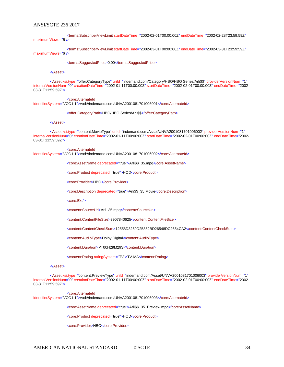<terms:SubscriberViewLimit startDateTime="2002-02-01T00:00:00Z" endDateTime="2002-02-28T23:59:59Z" maximumViews="5"/>

<terms:SubscriberViewLimit startDateTime="2002-03-01T00:00:00Z" endDateTime="2002-03-31T23:59:59Z" maximumViews="6"/>

<terms:SuggestedPrice>0.00</terms:SuggestedPrice>

</Asset>

<Asset xsi:type="offer:CategoryType" uriId="indemand.com/Category/HBO/HBO Series/Arli\$\$" providerVersionNum="1" internalVersionNum="0" creationDateTime="2002-01-11T00:00:00Z" startDateTime="2002-02-01T00:00:00Z" endDateTime="2002- 03-31T11:59:59Z">

<core:AlternateId

identifierSystem="VOD1.1">vod://indemand.com/UNVA2001081701006001</core:AlternateId>

<offer:CategoryPath>HBO/HBO Series/Arli\$\$</offer:CategoryPath>

</Asset>

<Asset xsi:type="content:MovieType" uriId="indemand.com/Asset/UNVA2001081701006002" providerVersionNum="1" internalVersionNum="0" creationDateTime="2002-01-11T00:00:00Z" startDateTime="2002-02-01T00:00:00Z" endDateTime="2002- 03-31T11:59:59Z">

#### <core:AlternateId

identifierSystem="VOD1.1">vod://indemand.com/UNVA2001081701006002</core:AlternateId>

<core:AssetName deprecated="true">Arli\$\$\_35.mpg</core:AssetName>

<core:Product deprecated="true">HOD</core:Product>

<core:Provider>HBO</core:Provider>

<core:Description deprecated="true">Arli\$\$\_35 Movie</core:Description>

<core:Ext/>

<content:SourceUrl>Arli\_35.mpg</content:SourceUrl>

<content:ContentFileSize>3907840625</content:ContentFileSize>

<content:ContentCheckSum>12558D3269D25852BD26548DC2654CA2</content:ContentCheckSum>

<content:AudioType>Dolby Digital</content:AudioType>

<content:Duration>PT00H29M29S</content:Duration>

<content:Rating ratingSystem="TV">TV-MA</content:Rating>

#### </Asset>

<Asset xsi:type="content:PreviewType" uriId="indemand.com/Asset/UNVA2001081701006003" providerVersionNum="1" internalVersionNum="0" creationDateTime="2002-01-11T00:00:00Z" startDateTime="2002-02-01T00:00:00Z" endDateTime="2002- 03-31T11:59:59Z">

<core:AlternateId identifierSystem="VOD1.1">vod://indemand.com/UNVA2001081701006003</core:AlternateId>

<core:AssetName deprecated="true">Arli\$\$\_35\_Preview.mpg</core:AssetName>

<core:Product deprecated="true">HOD</core:Product>

<core:Provider>HBO</core:Provider>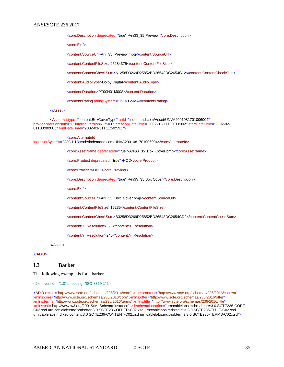<core:Description deprecated="true">Arli\$\$\_35 Preview</core:Description>

<core:Ext/>

<content:SourceUrl>Arli\_35\_Preview.mpg</content:SourceUrl>

<content:ContentFileSize>25284375</content:ContentFileSize>

<content:ContentCheckSum>A1258D3269D25852BD26548DC2654C12</content:ContentCheckSum>

<content:AudioType>Dolby Digital</content:AudioType>

<content:Duration>PT00H01M00S</content:Duration>

<content:Rating ratingSystem="TV">TV-MA</content:Rating>

#### </Asset>

<Asset xsi:type="content:BoxCoverType" uriId="indemand.com/Asset/UNVA2001081701006004" providerVersionNum="1" internalVersionNum="0" creationDateTime="2002-01-11T00:00:00Z" startDateTime="2002-02- 01T00:00:00Z" endDateTime="2002-03-31T11:59:59Z">

<core:AlternateId

identifierSystem="VOD1.1">vod://indemand.com/UNVA2001081701006004</core:AlternateId>

<core:AssetName deprecated="true">Arli\$\$\_35\_Box\_Cover.bmp</core:AssetName>

<core:Product deprecated="true">HOD</core:Product>

<core:Provider>HBO</core:Provider>

<core:Description deprecated="true">Arli\$\$\_35 Box Cover</core:Description>

<core:Ext/>

<content:SourceUrl>Arli\_35\_Box\_Cover.bmp</content:SourceUrl>

<content:ContentFileSize>15235</content:ContentFileSize>

<content:ContentCheckSum>B3258D3269D25852BD26548DC2654CD2</content:ContentCheckSum>

<content:X\_Resolution>320</content:X\_Resolution>

<content:Y\_Resolution>240</content:Y\_Resolution>

</Asset>

 $<$ /ADI3>

## **I.3 Barker**

The following example is for a barker.

<?xml version="1.0" encoding="ISO-8859-1"?>

<ADI3 xmlns="http://www.scte.org/schemas/236/2016/core" xmlns:content="http://www.scte.org/schemas/236/2016/content" xmlns:core="http://www.scte.org/schemas/236/2016/core" xmlns:offer="http://www.scte.org/schemas/236/2016/offer" xmlns:terms="http://www.scte.org/schemas/236/2016/terms" xmlns:title="http://www.scte.org/schemas/236/2016/title" xmlns:xsi="http://www.w3.org/2001/XMLSchema-instance" xsi:schemaLocation="urn:cablelabs:md:xsd:core:3.0 SCTE236-CORE-C02.xsd urn:cablelabs:md:xsd:offer:3.0 SCTE236-OFFER-C02.xsd urn:cablelabs:md:xsd:title:3.0 SCTE236-TITLE-C02.xsd urn:cablelabs:md:xsd:content:3.0 SCTE236-CONTENT-C02.xsd urn:cablelabs:md:xsd:terms:3.0 SCTE236-TERMS-C02.xsd">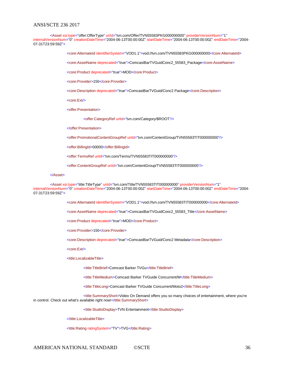<Asset xsi:type="offer:OfferType" uriId="tvn.com/Offer/TVN55583PKG000000000" providerVersionNum="1" internalVersionNum="0" creationDateTime="2004-06-13T00:00:00Z" startDateTime="2004-06-13T00:00:00Z" endDateTime="2004- 07-31T23:59:59Z">

<core:AlternateId identifierSystem="VOD1.1">vod://tvn.com/TVN55583PKG000000000</core:AlternateId>

<core:AssetName deprecated="true">ComcastBarTVGuidConc2\_55583\_Package</core:AssetName>

<core:Product deprecated="true">MOD</core:Product>

<core:Provider>150</core:Provider>

<core:Description deprecated="true">ComcastBarTVGuid/Conc2 Package</core:Description>

<core:Ext/>

<offer:Presentation>

<offer:CategoryRef uriId="tvn.com/Category/\$ROOT"/>

</offer:Presentation>

<offer:PromotionalContentGroupRef uriId="tvn.com/ContentGroup/TVN55583TIT000000000"/>

<offer:BillingId>00000</offer:BillingId>

<offer:TermsRef uriId="tvn.com/Terms/TVN55583TIT000000000"/>

<offer:ContentGroupRef uriId="tvn.com/ContentGroup/TVN55583TIT000000000"/>

#### </Asset>

<Asset xsi:type="title:TitleType" uriId="tvn.com/Title/TVN55583TIT000000000" providerVersionNum="1" internalVersionNum="0" creationDateTime="2004-06-13T00:00:00Z" startDateTime="2004-06-13T00:00:00Z" endDateTime="2004- 07-31T23:59:59Z">

<core:AlternateId identifierSystem="VOD1.1">vod://tvn.com/TVN55583TIT000000000</core:AlternateId>

<core:AssetName deprecated="true">ComcastBarTVGuidConc2\_55583\_Title</core:AssetName>

<core:Product deprecated="true">MOD</core:Product>

<core:Provider>150</core:Provider>

<core:Description deprecated="true">ComcastBarTVGuid/Conc2 Metadata</core:Description>

<core:Ext/>

<title:LocalizableTitle>

<title:TitleBrief>Comcast Barker TVGu</title:TitleBrief>

<title:TitleMedium>Comcast Barker TVGuide Concurrent/M</title:TitleMedium>

<title:TitleLong>Comcast Barker TVGuide Concurrent/Moto2</title:TitleLong>

<title:SummaryShort>Video On Demand offers you so many choices of entertainment, where you're in control. Check out what's available right now!</title:SummaryShort>

<title:StudioDisplay>TVN Entertainment</title:StudioDisplay>

</title:LocalizableTitle>

<title:Rating ratingSystem="TV">TVG</title:Rating>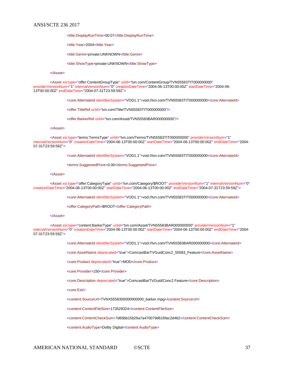<title:DisplayRunTime>00:07</title:DisplayRunTime>

<title:Year>2004</title:Year>

<title:Genre>private:UNKNOWN</title:Genre>

<title:ShowType>private:UNKNOWN</title:ShowType>

#### </Asset>

<Asset xsi:type="offer:ContentGroupType" uriId="tvn.com/ContentGroup/TVN55583TIT000000000" providerVersionNum="1" internalVersionNum="0" creationDateTime="2004-06-13T00:00:00Z" startDateTime="2004-06- 13T00:00:00Z" endDateTime="2004-07-31T23:59:59Z">

<core:AlternateId identifierSystem="VOD1.1">vod://tvn.com/TVN55583TIT000000000</core:AlternateId>

<offer:TitleRef uriId="tvn.com/Title/TVN55583TIT000000000"/>

<offer:BarkerRef uriId="tvn.com/Asset/TVN55583BAR000000000"/>

#### </Asset>

<Asset xsi:type="terms:TermsType" uriId="tvn.com/Terms/TVN55583TIT000000000" providerVersionNum="1" internalVersionNum="0" creationDateTime="2004-06-13T00:00:00Z" startDateTime="2004-06-13T00:00:00Z" endDateTime="2004- 07-31T23:59:59Z">

<core:AlternateId identifierSystem="VOD1.1">vod://tvn.com/TVN55583TIT000000000</core:AlternateId>

<terms:SuggestedPrice>0.00</terms:SuggestedPrice>

#### </Asset>

<Asset xsi:type="offer:CategoryType" uriId="tvn.com/Category/\$ROOT" providerVersionNum="1" internalVersionNum="0" creationDateTime="2004-06-13T00:00:00Z" startDateTime="2004-06-13T00:00:00Z" endDateTime="2004-07-31T23:59:59Z">

<core:AlternateId identifierSystem="VOD1.1">vod://tvn.com/TVN55583TIT000000000</core:AlternateId>

<offer:CategoryPath>\$ROOT</offer:CategoryPath>

#### </Asset>

<Asset xsi:type="content:BarkerType" uriId="tvn.com/Asset/TVN55583BAR000000000" providerVersionNum="1" internalVersionNum="0" creationDateTime="2004-06-13T00:00:00Z" startDateTime="2004-06-13T00:00:00Z" endDateTime="2004- 07-31T23:59:59Z">

<core:AlternateId identifierSystem="VOD1.1">vod://tvn.com/TVN55583BAR000000000</core:AlternateId>

<core:AssetName deprecated="true">ComcastBarTVGuidConc2\_55583\_Feature</core:AssetName>

<core:Product deprecated="true">MOD</core:Product>

<core:Provider>150</core:Provider>

<core:Description deprecated="true">ComcastBarTVGuid/Conc2 Feature</core:Description>

<core:Ext/>

<content:SourceUrl>TVNX5558300000000000\_barker.mpg</content:SourceUrl>

<content:ContentFileSize>173529324</content:ContentFileSize>

<content:ContentCheckSum>7d65bb15b26a7a470079d616fac2d462</content:ContentCheckSum>

<content:AudioType>Dolby Digital</content:AudioType>